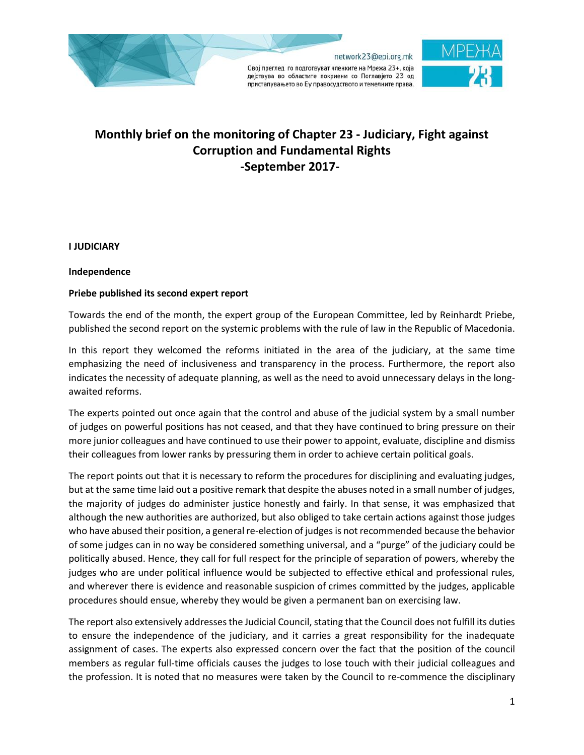

# **Monthly brief on the monitoring of Chapter 23 - Judiciary, Fight against Corruption and Fundamental Rights -September 2017-**

**I JUDICIARY**

### **Independence**

## **Priebe published its second expert report**

Towards the end of the month, the expert group of the European Committee, led by Reinhardt Priebe, published the second report on the systemic problems with the rule of law in the Republic of Macedonia.

In this report they welcomed the reforms initiated in the area of the judiciary, at the same time emphasizing the need of inclusiveness and transparency in the process. Furthermore, the report also indicates the necessity of adequate planning, as well as the need to avoid unnecessary delays in the longawaited reforms.

The experts pointed out once again that the control and abuse of the judicial system by a small number of judges on powerful positions has not ceased, and that they have continued to bring pressure on their more junior colleagues and have continued to use their power to appoint, evaluate, discipline and dismiss their colleagues from lower ranks by pressuring them in order to achieve certain political goals.

The report points out that it is necessary to reform the procedures for disciplining and evaluating judges, but at the same time laid out a positive remark that despite the abuses noted in a small number of judges, the majority of judges do administer justice honestly and fairly. In that sense, it was emphasized that although the new authorities are authorized, but also obliged to take certain actions against those judges who have abused their position, a general re-election of judges is not recommended because the behavior of some judges can in no way be considered something universal, and a "purge" of the judiciary could be politically abused. Hence, they call for full respect for the principle of separation of powers, whereby the judges who are under political influence would be subjected to effective ethical and professional rules, and wherever there is evidence and reasonable suspicion of crimes committed by the judges, applicable procedures should ensue, whereby they would be given a permanent ban on exercising law.

The report also extensively addresses the Judicial Council, stating that the Council does not fulfill its duties to ensure the independence of the judiciary, and it carries a great responsibility for the inadequate assignment of cases. The experts also expressed concern over the fact that the position of the council members as regular full-time officials causes the judges to lose touch with their judicial colleagues and the profession. It is noted that no measures were taken by the Council to re-commence the disciplinary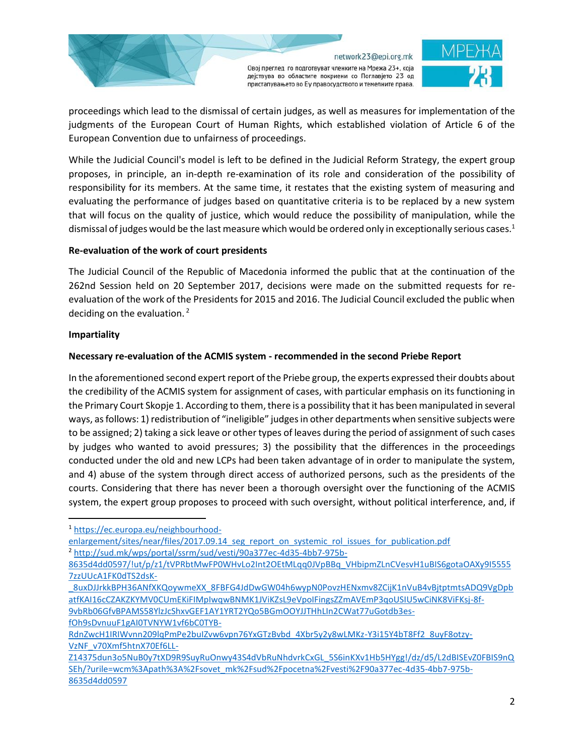



proceedings which lead to the dismissal of certain judges, as well as measures for implementation of the judgments of the European Court of Human Rights, which established violation of Article 6 of the European Convention due to unfairness of proceedings.

While the Judicial Council's model is left to be defined in the Judicial Reform Strategy, the expert group proposes, in principle, an in-depth re-examination of its role and consideration of the possibility of responsibility for its members. At the same time, it restates that the existing system of measuring and evaluating the performance of judges based on quantitative criteria is to be replaced by a new system that will focus on the quality of justice, which would reduce the possibility of manipulation, while the dismissal of judges would be the last measure which would be ordered only in exceptionally serious cases. $1$ 

## **Re-evaluation of the work of court presidents**

The Judicial Council of the Republic of Macedonia informed the public that at the continuation of the 262nd Session held on 20 September 2017, decisions were made on the submitted requests for reevaluation of the work of the Presidents for 2015 and 2016. The Judicial Council excluded the public when deciding on the evaluation. <sup>2</sup>

## **Impartiality**

 $\overline{\phantom{a}}$ 

# **Necessary re-evaluation of the ACMIS system - recommended in the second Priebe Report**

In the aforementioned second expert report of the Priebe group, the experts expressed their doubts about the credibility of the ACMIS system for assignment of cases, with particular emphasis on its functioning in the Primary Court Skopje 1. According to them, there is a possibility that it has been manipulated in several ways, as follows: 1) redistribution of "ineligible" judges in other departments when sensitive subjects were to be assigned; 2) taking a sick leave or other types of leaves during the period of assignment of such cases by judges who wanted to avoid pressures; 3) the possibility that the differences in the proceedings conducted under the old and new LCPs had been taken advantage of in order to manipulate the system, and 4) abuse of the system through direct access of authorized persons, such as the presidents of the courts. Considering that there has never been a thorough oversight over the functioning of the ACMIS system, the expert group proposes to proceed with such oversight, without political interference, and, if

<sup>1</sup> [https://ec.europa.eu/neighbourhood-](https://ec.europa.eu/neighbourhood-enlargement/sites/near/files/2017.09.14_seg_report_on_systemic_rol_issues_for_publication.pdf)

[enlargement/sites/near/files/2017.09.14\\_seg\\_report\\_on\\_systemic\\_rol\\_issues\\_for\\_publication.pdf](https://ec.europa.eu/neighbourhood-enlargement/sites/near/files/2017.09.14_seg_report_on_systemic_rol_issues_for_publication.pdf) <sup>2</sup> [http://sud.mk/wps/portal/ssrm/sud/vesti/90a377ec-4d35-4bb7-975b-](http://sud.mk/wps/portal/ssrm/sud/vesti/90a377ec-4d35-4bb7-975b-8635d4dd0597/!ut/p/z1/tVPRbtMwFP0WHvLo2Int2OEtMLqq0JVpBBq_VHbipmZLnCVesvH1uBIS6gotaOAXy9I55557zzUUcA1FK0dTS2dsK-_8uxDJJrkkBPH36ANfXKQoywmeXX_8FBFG4JdDwGW04h6wypN0PovzHENxmv8ZCijK1nVuB4vBjtptmtsADQ9VgDpbatfKAI16cCZAKZKYMV0CUmEKiFIMpIwqwBNMK1JViKZsL9eVpoIFingsZZmAVEmP3qoUSIU5wCiNK8ViFKsj-8f-9vbRb06GfvBPAMS58YlzJcShxvGEF1AY1YRT2YQo5BGmOOYJJTHhLIn2CWat77uGotdb3es-fOh9sDvnuuF1gAI0TVNYW1vf6bC0TYB-RdnZwcH1IRIWvnn209lqPmPe2buIZvw6vpn76YxGTzBvbd_4Xbr5y2y8wLMKz-Y3i15Y4bT8Ff2_8uyF8otzy-VzNF_v70Xmf5htnX70Ef6LL-Z14375dun3o5NuB0y7tXD9R9SuyRuOnwy43S4dVbRuNhdvrkCxGL_5S6inKXv1Hb5HYgg!/dz/d5/L2dBISEvZ0FBIS9nQSEh/?urile=wcm%3Apath%3A%2Fsovet_mk%2Fsud%2Fpocetna%2Fvesti%2F90a377ec-4d35-4bb7-975b-8635d4dd0597)

[8635d4dd0597/!ut/p/z1/tVPRbtMwFP0WHvLo2Int2OEtMLqq0JVpBBq\\_VHbipmZLnCVesvH1uBIS6gotaOAXy9I5555](http://sud.mk/wps/portal/ssrm/sud/vesti/90a377ec-4d35-4bb7-975b-8635d4dd0597/!ut/p/z1/tVPRbtMwFP0WHvLo2Int2OEtMLqq0JVpBBq_VHbipmZLnCVesvH1uBIS6gotaOAXy9I55557zzUUcA1FK0dTS2dsK-_8uxDJJrkkBPH36ANfXKQoywmeXX_8FBFG4JdDwGW04h6wypN0PovzHENxmv8ZCijK1nVuB4vBjtptmtsADQ9VgDpbatfKAI16cCZAKZKYMV0CUmEKiFIMpIwqwBNMK1JViKZsL9eVpoIFingsZZmAVEmP3qoUSIU5wCiNK8ViFKsj-8f-9vbRb06GfvBPAMS58YlzJcShxvGEF1AY1YRT2YQo5BGmOOYJJTHhLIn2CWat77uGotdb3es-fOh9sDvnuuF1gAI0TVNYW1vf6bC0TYB-RdnZwcH1IRIWvnn209lqPmPe2buIZvw6vpn76YxGTzBvbd_4Xbr5y2y8wLMKz-Y3i15Y4bT8Ff2_8uyF8otzy-VzNF_v70Xmf5htnX70Ef6LL-Z14375dun3o5NuB0y7tXD9R9SuyRuOnwy43S4dVbRuNhdvrkCxGL_5S6inKXv1Hb5HYgg!/dz/d5/L2dBISEvZ0FBIS9nQSEh/?urile=wcm%3Apath%3A%2Fsovet_mk%2Fsud%2Fpocetna%2Fvesti%2F90a377ec-4d35-4bb7-975b-8635d4dd0597) [7zzUUcA1FK0dTS2dsK-](http://sud.mk/wps/portal/ssrm/sud/vesti/90a377ec-4d35-4bb7-975b-8635d4dd0597/!ut/p/z1/tVPRbtMwFP0WHvLo2Int2OEtMLqq0JVpBBq_VHbipmZLnCVesvH1uBIS6gotaOAXy9I55557zzUUcA1FK0dTS2dsK-_8uxDJJrkkBPH36ANfXKQoywmeXX_8FBFG4JdDwGW04h6wypN0PovzHENxmv8ZCijK1nVuB4vBjtptmtsADQ9VgDpbatfKAI16cCZAKZKYMV0CUmEKiFIMpIwqwBNMK1JViKZsL9eVpoIFingsZZmAVEmP3qoUSIU5wCiNK8ViFKsj-8f-9vbRb06GfvBPAMS58YlzJcShxvGEF1AY1YRT2YQo5BGmOOYJJTHhLIn2CWat77uGotdb3es-fOh9sDvnuuF1gAI0TVNYW1vf6bC0TYB-RdnZwcH1IRIWvnn209lqPmPe2buIZvw6vpn76YxGTzBvbd_4Xbr5y2y8wLMKz-Y3i15Y4bT8Ff2_8uyF8otzy-VzNF_v70Xmf5htnX70Ef6LL-Z14375dun3o5NuB0y7tXD9R9SuyRuOnwy43S4dVbRuNhdvrkCxGL_5S6inKXv1Hb5HYgg!/dz/d5/L2dBISEvZ0FBIS9nQSEh/?urile=wcm%3Apath%3A%2Fsovet_mk%2Fsud%2Fpocetna%2Fvesti%2F90a377ec-4d35-4bb7-975b-8635d4dd0597)

[\\_8uxDJJrkkBPH36ANfXKQoywmeXX\\_8FBFG4JdDwGW04h6wypN0PovzHENxmv8ZCijK1nVuB4vBjtptmtsADQ9VgDpb](http://sud.mk/wps/portal/ssrm/sud/vesti/90a377ec-4d35-4bb7-975b-8635d4dd0597/!ut/p/z1/tVPRbtMwFP0WHvLo2Int2OEtMLqq0JVpBBq_VHbipmZLnCVesvH1uBIS6gotaOAXy9I55557zzUUcA1FK0dTS2dsK-_8uxDJJrkkBPH36ANfXKQoywmeXX_8FBFG4JdDwGW04h6wypN0PovzHENxmv8ZCijK1nVuB4vBjtptmtsADQ9VgDpbatfKAI16cCZAKZKYMV0CUmEKiFIMpIwqwBNMK1JViKZsL9eVpoIFingsZZmAVEmP3qoUSIU5wCiNK8ViFKsj-8f-9vbRb06GfvBPAMS58YlzJcShxvGEF1AY1YRT2YQo5BGmOOYJJTHhLIn2CWat77uGotdb3es-fOh9sDvnuuF1gAI0TVNYW1vf6bC0TYB-RdnZwcH1IRIWvnn209lqPmPe2buIZvw6vpn76YxGTzBvbd_4Xbr5y2y8wLMKz-Y3i15Y4bT8Ff2_8uyF8otzy-VzNF_v70Xmf5htnX70Ef6LL-Z14375dun3o5NuB0y7tXD9R9SuyRuOnwy43S4dVbRuNhdvrkCxGL_5S6inKXv1Hb5HYgg!/dz/d5/L2dBISEvZ0FBIS9nQSEh/?urile=wcm%3Apath%3A%2Fsovet_mk%2Fsud%2Fpocetna%2Fvesti%2F90a377ec-4d35-4bb7-975b-8635d4dd0597) [atfKAI16cCZAKZKYMV0CUmEKiFIMpIwqwBNMK1JViKZsL9eVpoIFingsZZmAVEmP3qoUSIU5wCiNK8ViFKsj-8f-](http://sud.mk/wps/portal/ssrm/sud/vesti/90a377ec-4d35-4bb7-975b-8635d4dd0597/!ut/p/z1/tVPRbtMwFP0WHvLo2Int2OEtMLqq0JVpBBq_VHbipmZLnCVesvH1uBIS6gotaOAXy9I55557zzUUcA1FK0dTS2dsK-_8uxDJJrkkBPH36ANfXKQoywmeXX_8FBFG4JdDwGW04h6wypN0PovzHENxmv8ZCijK1nVuB4vBjtptmtsADQ9VgDpbatfKAI16cCZAKZKYMV0CUmEKiFIMpIwqwBNMK1JViKZsL9eVpoIFingsZZmAVEmP3qoUSIU5wCiNK8ViFKsj-8f-9vbRb06GfvBPAMS58YlzJcShxvGEF1AY1YRT2YQo5BGmOOYJJTHhLIn2CWat77uGotdb3es-fOh9sDvnuuF1gAI0TVNYW1vf6bC0TYB-RdnZwcH1IRIWvnn209lqPmPe2buIZvw6vpn76YxGTzBvbd_4Xbr5y2y8wLMKz-Y3i15Y4bT8Ff2_8uyF8otzy-VzNF_v70Xmf5htnX70Ef6LL-Z14375dun3o5NuB0y7tXD9R9SuyRuOnwy43S4dVbRuNhdvrkCxGL_5S6inKXv1Hb5HYgg!/dz/d5/L2dBISEvZ0FBIS9nQSEh/?urile=wcm%3Apath%3A%2Fsovet_mk%2Fsud%2Fpocetna%2Fvesti%2F90a377ec-4d35-4bb7-975b-8635d4dd0597)[9vbRb06GfvBPAMS58YlzJcShxvGEF1AY1YRT2YQo5BGmOOYJJTHhLIn2CWat77uGotdb3es-](http://sud.mk/wps/portal/ssrm/sud/vesti/90a377ec-4d35-4bb7-975b-8635d4dd0597/!ut/p/z1/tVPRbtMwFP0WHvLo2Int2OEtMLqq0JVpBBq_VHbipmZLnCVesvH1uBIS6gotaOAXy9I55557zzUUcA1FK0dTS2dsK-_8uxDJJrkkBPH36ANfXKQoywmeXX_8FBFG4JdDwGW04h6wypN0PovzHENxmv8ZCijK1nVuB4vBjtptmtsADQ9VgDpbatfKAI16cCZAKZKYMV0CUmEKiFIMpIwqwBNMK1JViKZsL9eVpoIFingsZZmAVEmP3qoUSIU5wCiNK8ViFKsj-8f-9vbRb06GfvBPAMS58YlzJcShxvGEF1AY1YRT2YQo5BGmOOYJJTHhLIn2CWat77uGotdb3es-fOh9sDvnuuF1gAI0TVNYW1vf6bC0TYB-RdnZwcH1IRIWvnn209lqPmPe2buIZvw6vpn76YxGTzBvbd_4Xbr5y2y8wLMKz-Y3i15Y4bT8Ff2_8uyF8otzy-VzNF_v70Xmf5htnX70Ef6LL-Z14375dun3o5NuB0y7tXD9R9SuyRuOnwy43S4dVbRuNhdvrkCxGL_5S6inKXv1Hb5HYgg!/dz/d5/L2dBISEvZ0FBIS9nQSEh/?urile=wcm%3Apath%3A%2Fsovet_mk%2Fsud%2Fpocetna%2Fvesti%2F90a377ec-4d35-4bb7-975b-8635d4dd0597)

[fOh9sDvnuuF1gAI0TVNYW1vf6bC0TYB-](http://sud.mk/wps/portal/ssrm/sud/vesti/90a377ec-4d35-4bb7-975b-8635d4dd0597/!ut/p/z1/tVPRbtMwFP0WHvLo2Int2OEtMLqq0JVpBBq_VHbipmZLnCVesvH1uBIS6gotaOAXy9I55557zzUUcA1FK0dTS2dsK-_8uxDJJrkkBPH36ANfXKQoywmeXX_8FBFG4JdDwGW04h6wypN0PovzHENxmv8ZCijK1nVuB4vBjtptmtsADQ9VgDpbatfKAI16cCZAKZKYMV0CUmEKiFIMpIwqwBNMK1JViKZsL9eVpoIFingsZZmAVEmP3qoUSIU5wCiNK8ViFKsj-8f-9vbRb06GfvBPAMS58YlzJcShxvGEF1AY1YRT2YQo5BGmOOYJJTHhLIn2CWat77uGotdb3es-fOh9sDvnuuF1gAI0TVNYW1vf6bC0TYB-RdnZwcH1IRIWvnn209lqPmPe2buIZvw6vpn76YxGTzBvbd_4Xbr5y2y8wLMKz-Y3i15Y4bT8Ff2_8uyF8otzy-VzNF_v70Xmf5htnX70Ef6LL-Z14375dun3o5NuB0y7tXD9R9SuyRuOnwy43S4dVbRuNhdvrkCxGL_5S6inKXv1Hb5HYgg!/dz/d5/L2dBISEvZ0FBIS9nQSEh/?urile=wcm%3Apath%3A%2Fsovet_mk%2Fsud%2Fpocetna%2Fvesti%2F90a377ec-4d35-4bb7-975b-8635d4dd0597)

[RdnZwcH1IRIWvnn209lqPmPe2buIZvw6vpn76YxGTzBvbd\\_4Xbr5y2y8wLMKz-Y3i15Y4bT8Ff2\\_8uyF8otzy-](http://sud.mk/wps/portal/ssrm/sud/vesti/90a377ec-4d35-4bb7-975b-8635d4dd0597/!ut/p/z1/tVPRbtMwFP0WHvLo2Int2OEtMLqq0JVpBBq_VHbipmZLnCVesvH1uBIS6gotaOAXy9I55557zzUUcA1FK0dTS2dsK-_8uxDJJrkkBPH36ANfXKQoywmeXX_8FBFG4JdDwGW04h6wypN0PovzHENxmv8ZCijK1nVuB4vBjtptmtsADQ9VgDpbatfKAI16cCZAKZKYMV0CUmEKiFIMpIwqwBNMK1JViKZsL9eVpoIFingsZZmAVEmP3qoUSIU5wCiNK8ViFKsj-8f-9vbRb06GfvBPAMS58YlzJcShxvGEF1AY1YRT2YQo5BGmOOYJJTHhLIn2CWat77uGotdb3es-fOh9sDvnuuF1gAI0TVNYW1vf6bC0TYB-RdnZwcH1IRIWvnn209lqPmPe2buIZvw6vpn76YxGTzBvbd_4Xbr5y2y8wLMKz-Y3i15Y4bT8Ff2_8uyF8otzy-VzNF_v70Xmf5htnX70Ef6LL-Z14375dun3o5NuB0y7tXD9R9SuyRuOnwy43S4dVbRuNhdvrkCxGL_5S6inKXv1Hb5HYgg!/dz/d5/L2dBISEvZ0FBIS9nQSEh/?urile=wcm%3Apath%3A%2Fsovet_mk%2Fsud%2Fpocetna%2Fvesti%2F90a377ec-4d35-4bb7-975b-8635d4dd0597)[VzNF\\_v70Xmf5htnX70Ef6LL-](http://sud.mk/wps/portal/ssrm/sud/vesti/90a377ec-4d35-4bb7-975b-8635d4dd0597/!ut/p/z1/tVPRbtMwFP0WHvLo2Int2OEtMLqq0JVpBBq_VHbipmZLnCVesvH1uBIS6gotaOAXy9I55557zzUUcA1FK0dTS2dsK-_8uxDJJrkkBPH36ANfXKQoywmeXX_8FBFG4JdDwGW04h6wypN0PovzHENxmv8ZCijK1nVuB4vBjtptmtsADQ9VgDpbatfKAI16cCZAKZKYMV0CUmEKiFIMpIwqwBNMK1JViKZsL9eVpoIFingsZZmAVEmP3qoUSIU5wCiNK8ViFKsj-8f-9vbRb06GfvBPAMS58YlzJcShxvGEF1AY1YRT2YQo5BGmOOYJJTHhLIn2CWat77uGotdb3es-fOh9sDvnuuF1gAI0TVNYW1vf6bC0TYB-RdnZwcH1IRIWvnn209lqPmPe2buIZvw6vpn76YxGTzBvbd_4Xbr5y2y8wLMKz-Y3i15Y4bT8Ff2_8uyF8otzy-VzNF_v70Xmf5htnX70Ef6LL-Z14375dun3o5NuB0y7tXD9R9SuyRuOnwy43S4dVbRuNhdvrkCxGL_5S6inKXv1Hb5HYgg!/dz/d5/L2dBISEvZ0FBIS9nQSEh/?urile=wcm%3Apath%3A%2Fsovet_mk%2Fsud%2Fpocetna%2Fvesti%2F90a377ec-4d35-4bb7-975b-8635d4dd0597)

[Z14375dun3o5NuB0y7tXD9R9SuyRuOnwy43S4dVbRuNhdvrkCxGL\\_5S6inKXv1Hb5HYgg!/dz/d5/L2dBISEvZ0FBIS9nQ](http://sud.mk/wps/portal/ssrm/sud/vesti/90a377ec-4d35-4bb7-975b-8635d4dd0597/!ut/p/z1/tVPRbtMwFP0WHvLo2Int2OEtMLqq0JVpBBq_VHbipmZLnCVesvH1uBIS6gotaOAXy9I55557zzUUcA1FK0dTS2dsK-_8uxDJJrkkBPH36ANfXKQoywmeXX_8FBFG4JdDwGW04h6wypN0PovzHENxmv8ZCijK1nVuB4vBjtptmtsADQ9VgDpbatfKAI16cCZAKZKYMV0CUmEKiFIMpIwqwBNMK1JViKZsL9eVpoIFingsZZmAVEmP3qoUSIU5wCiNK8ViFKsj-8f-9vbRb06GfvBPAMS58YlzJcShxvGEF1AY1YRT2YQo5BGmOOYJJTHhLIn2CWat77uGotdb3es-fOh9sDvnuuF1gAI0TVNYW1vf6bC0TYB-RdnZwcH1IRIWvnn209lqPmPe2buIZvw6vpn76YxGTzBvbd_4Xbr5y2y8wLMKz-Y3i15Y4bT8Ff2_8uyF8otzy-VzNF_v70Xmf5htnX70Ef6LL-Z14375dun3o5NuB0y7tXD9R9SuyRuOnwy43S4dVbRuNhdvrkCxGL_5S6inKXv1Hb5HYgg!/dz/d5/L2dBISEvZ0FBIS9nQSEh/?urile=wcm%3Apath%3A%2Fsovet_mk%2Fsud%2Fpocetna%2Fvesti%2F90a377ec-4d35-4bb7-975b-8635d4dd0597) [SEh/?urile=wcm%3Apath%3A%2Fsovet\\_mk%2Fsud%2Fpocetna%2Fvesti%2F90a377ec-4d35-4bb7-975b-](http://sud.mk/wps/portal/ssrm/sud/vesti/90a377ec-4d35-4bb7-975b-8635d4dd0597/!ut/p/z1/tVPRbtMwFP0WHvLo2Int2OEtMLqq0JVpBBq_VHbipmZLnCVesvH1uBIS6gotaOAXy9I55557zzUUcA1FK0dTS2dsK-_8uxDJJrkkBPH36ANfXKQoywmeXX_8FBFG4JdDwGW04h6wypN0PovzHENxmv8ZCijK1nVuB4vBjtptmtsADQ9VgDpbatfKAI16cCZAKZKYMV0CUmEKiFIMpIwqwBNMK1JViKZsL9eVpoIFingsZZmAVEmP3qoUSIU5wCiNK8ViFKsj-8f-9vbRb06GfvBPAMS58YlzJcShxvGEF1AY1YRT2YQo5BGmOOYJJTHhLIn2CWat77uGotdb3es-fOh9sDvnuuF1gAI0TVNYW1vf6bC0TYB-RdnZwcH1IRIWvnn209lqPmPe2buIZvw6vpn76YxGTzBvbd_4Xbr5y2y8wLMKz-Y3i15Y4bT8Ff2_8uyF8otzy-VzNF_v70Xmf5htnX70Ef6LL-Z14375dun3o5NuB0y7tXD9R9SuyRuOnwy43S4dVbRuNhdvrkCxGL_5S6inKXv1Hb5HYgg!/dz/d5/L2dBISEvZ0FBIS9nQSEh/?urile=wcm%3Apath%3A%2Fsovet_mk%2Fsud%2Fpocetna%2Fvesti%2F90a377ec-4d35-4bb7-975b-8635d4dd0597)[8635d4dd0597](http://sud.mk/wps/portal/ssrm/sud/vesti/90a377ec-4d35-4bb7-975b-8635d4dd0597/!ut/p/z1/tVPRbtMwFP0WHvLo2Int2OEtMLqq0JVpBBq_VHbipmZLnCVesvH1uBIS6gotaOAXy9I55557zzUUcA1FK0dTS2dsK-_8uxDJJrkkBPH36ANfXKQoywmeXX_8FBFG4JdDwGW04h6wypN0PovzHENxmv8ZCijK1nVuB4vBjtptmtsADQ9VgDpbatfKAI16cCZAKZKYMV0CUmEKiFIMpIwqwBNMK1JViKZsL9eVpoIFingsZZmAVEmP3qoUSIU5wCiNK8ViFKsj-8f-9vbRb06GfvBPAMS58YlzJcShxvGEF1AY1YRT2YQo5BGmOOYJJTHhLIn2CWat77uGotdb3es-fOh9sDvnuuF1gAI0TVNYW1vf6bC0TYB-RdnZwcH1IRIWvnn209lqPmPe2buIZvw6vpn76YxGTzBvbd_4Xbr5y2y8wLMKz-Y3i15Y4bT8Ff2_8uyF8otzy-VzNF_v70Xmf5htnX70Ef6LL-Z14375dun3o5NuB0y7tXD9R9SuyRuOnwy43S4dVbRuNhdvrkCxGL_5S6inKXv1Hb5HYgg!/dz/d5/L2dBISEvZ0FBIS9nQSEh/?urile=wcm%3Apath%3A%2Fsovet_mk%2Fsud%2Fpocetna%2Fvesti%2F90a377ec-4d35-4bb7-975b-8635d4dd0597)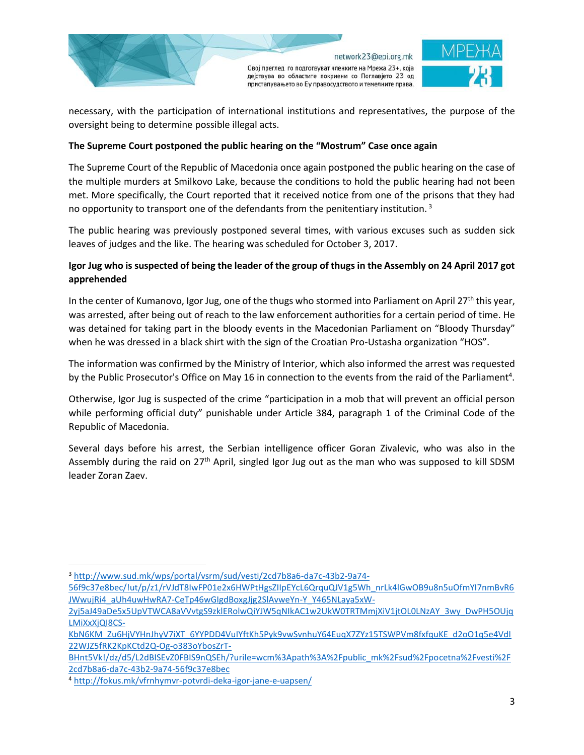



necessary, with the participation of international institutions and representatives, the purpose of the oversight being to determine possible illegal acts.

## **The Supreme Court postponed the public hearing on the "Mostrum" Case once again**

The Supreme Court of the Republic of Macedonia once again postponed the public hearing on the case of the multiple murders at Smilkovo Lake, because the conditions to hold the public hearing had not been met. More specifically, the Court reported that it received notice from one of the prisons that they had no opportunity to transport one of the defendants from the penitentiary institution.<sup>3</sup>

The public hearing was previously postponed several times, with various excuses such as sudden sick leaves of judges and the like. The hearing was scheduled for October 3, 2017.

# **Igor Jug who is suspected of being the leader of the group of thugs in the Assembly on 24 April 2017 got apprehended**

In the center of Kumanovo, Igor Jug, one of the thugs who stormed into Parliament on April 27<sup>th</sup> this year, was arrested, after being out of reach to the law enforcement authorities for a certain period of time. He was detained for taking part in the bloody events in the Macedonian Parliament on "Bloody Thursday" when he was dressed in a black shirt with the sign of the Croatian Pro-Ustasha organization "HOS".

The information was confirmed by the Ministry of Interior, which also informed the arrest was requested by the Public Prosecutor's Office on May 16 in connection to the events from the raid of the Parliament<sup>4</sup>.

Otherwise, Igor Jug is suspected of the crime "participation in a mob that will prevent an official person while performing official duty" punishable under Article 384, paragraph 1 of the Criminal Code of the Republic of Macedonia.

Several days before his arrest, the Serbian intelligence officer Goran Zivalevic, who was also in the Assembly during the raid on 27<sup>th</sup> April, singled Igor Jug out as the man who was supposed to kill SDSM leader Zoran Zaev.

 $\overline{a}$ 

<sup>3</sup> [http://www.sud.mk/wps/portal/vsrm/sud/vesti/2cd7b8a6-da7c-43b2-9a74-](http://www.sud.mk/wps/portal/vsrm/sud/vesti/2cd7b8a6-da7c-43b2-9a74-56f9c37e8bec/!ut/p/z1/rVJdT8IwFP01e2x6HWPtHgsZIIpEYcL6QrquQJV1g5Wh_nrLk4lGwOB9u8n5uOfmYI7nmBvR6JWwujRi4_aUh4uwHwRA7-CeTp46wGIgdBoxgJjg2SlAvweYn-Y_Y465NLaya5xW-2yj5aJ49aDe5x5UpVTWCA8aVVvtgS9zklERolwQiYJW5qNIkAC1w2UkW0TRTMmjXiV1jtOL0LNzAY_3wy_DwPH5OUjqLMiXxXjQI8CS-KbN6KM_Zu6HjVYHnJhyV7iXT_6YYPDD4VuIYftKh5Pyk9vwSvnhuY64EuqX7ZYz15TSWPVm8fxfquKE_d2oO1q5e4VdI22WJZ5fRK2KpKCtd2Q-Og-o383oYbosZrT-BHnt5Vk!/dz/d5/L2dBISEvZ0FBIS9nQSEh/?urile=wcm%3Apath%3A%2Fpublic_mk%2Fsud%2Fpocetna%2Fvesti%2F2cd7b8a6-da7c-43b2-9a74-56f9c37e8bec)

[<sup>56</sup>f9c37e8bec/!ut/p/z1/rVJdT8IwFP01e2x6HWPtHgsZIIpEYcL6QrquQJV1g5Wh\\_nrLk4lGwOB9u8n5uOfmYI7nmBvR6](http://www.sud.mk/wps/portal/vsrm/sud/vesti/2cd7b8a6-da7c-43b2-9a74-56f9c37e8bec/!ut/p/z1/rVJdT8IwFP01e2x6HWPtHgsZIIpEYcL6QrquQJV1g5Wh_nrLk4lGwOB9u8n5uOfmYI7nmBvR6JWwujRi4_aUh4uwHwRA7-CeTp46wGIgdBoxgJjg2SlAvweYn-Y_Y465NLaya5xW-2yj5aJ49aDe5x5UpVTWCA8aVVvtgS9zklERolwQiYJW5qNIkAC1w2UkW0TRTMmjXiV1jtOL0LNzAY_3wy_DwPH5OUjqLMiXxXjQI8CS-KbN6KM_Zu6HjVYHnJhyV7iXT_6YYPDD4VuIYftKh5Pyk9vwSvnhuY64EuqX7ZYz15TSWPVm8fxfquKE_d2oO1q5e4VdI22WJZ5fRK2KpKCtd2Q-Og-o383oYbosZrT-BHnt5Vk!/dz/d5/L2dBISEvZ0FBIS9nQSEh/?urile=wcm%3Apath%3A%2Fpublic_mk%2Fsud%2Fpocetna%2Fvesti%2F2cd7b8a6-da7c-43b2-9a74-56f9c37e8bec) [JWwujRi4\\_aUh4uwHwRA7-CeTp46wGIgdBoxgJjg2SlAvweYn-Y\\_Y465NLaya5xW-](http://www.sud.mk/wps/portal/vsrm/sud/vesti/2cd7b8a6-da7c-43b2-9a74-56f9c37e8bec/!ut/p/z1/rVJdT8IwFP01e2x6HWPtHgsZIIpEYcL6QrquQJV1g5Wh_nrLk4lGwOB9u8n5uOfmYI7nmBvR6JWwujRi4_aUh4uwHwRA7-CeTp46wGIgdBoxgJjg2SlAvweYn-Y_Y465NLaya5xW-2yj5aJ49aDe5x5UpVTWCA8aVVvtgS9zklERolwQiYJW5qNIkAC1w2UkW0TRTMmjXiV1jtOL0LNzAY_3wy_DwPH5OUjqLMiXxXjQI8CS-KbN6KM_Zu6HjVYHnJhyV7iXT_6YYPDD4VuIYftKh5Pyk9vwSvnhuY64EuqX7ZYz15TSWPVm8fxfquKE_d2oO1q5e4VdI22WJZ5fRK2KpKCtd2Q-Og-o383oYbosZrT-BHnt5Vk!/dz/d5/L2dBISEvZ0FBIS9nQSEh/?urile=wcm%3Apath%3A%2Fpublic_mk%2Fsud%2Fpocetna%2Fvesti%2F2cd7b8a6-da7c-43b2-9a74-56f9c37e8bec)

[<sup>2</sup>yj5aJ49aDe5x5UpVTWCA8aVVvtgS9zklERolwQiYJW5qNIkAC1w2UkW0TRTMmjXiV1jtOL0LNzAY\\_3wy\\_DwPH5OUjq](http://www.sud.mk/wps/portal/vsrm/sud/vesti/2cd7b8a6-da7c-43b2-9a74-56f9c37e8bec/!ut/p/z1/rVJdT8IwFP01e2x6HWPtHgsZIIpEYcL6QrquQJV1g5Wh_nrLk4lGwOB9u8n5uOfmYI7nmBvR6JWwujRi4_aUh4uwHwRA7-CeTp46wGIgdBoxgJjg2SlAvweYn-Y_Y465NLaya5xW-2yj5aJ49aDe5x5UpVTWCA8aVVvtgS9zklERolwQiYJW5qNIkAC1w2UkW0TRTMmjXiV1jtOL0LNzAY_3wy_DwPH5OUjqLMiXxXjQI8CS-KbN6KM_Zu6HjVYHnJhyV7iXT_6YYPDD4VuIYftKh5Pyk9vwSvnhuY64EuqX7ZYz15TSWPVm8fxfquKE_d2oO1q5e4VdI22WJZ5fRK2KpKCtd2Q-Og-o383oYbosZrT-BHnt5Vk!/dz/d5/L2dBISEvZ0FBIS9nQSEh/?urile=wcm%3Apath%3A%2Fpublic_mk%2Fsud%2Fpocetna%2Fvesti%2F2cd7b8a6-da7c-43b2-9a74-56f9c37e8bec) [LMiXxXjQI8CS-](http://www.sud.mk/wps/portal/vsrm/sud/vesti/2cd7b8a6-da7c-43b2-9a74-56f9c37e8bec/!ut/p/z1/rVJdT8IwFP01e2x6HWPtHgsZIIpEYcL6QrquQJV1g5Wh_nrLk4lGwOB9u8n5uOfmYI7nmBvR6JWwujRi4_aUh4uwHwRA7-CeTp46wGIgdBoxgJjg2SlAvweYn-Y_Y465NLaya5xW-2yj5aJ49aDe5x5UpVTWCA8aVVvtgS9zklERolwQiYJW5qNIkAC1w2UkW0TRTMmjXiV1jtOL0LNzAY_3wy_DwPH5OUjqLMiXxXjQI8CS-KbN6KM_Zu6HjVYHnJhyV7iXT_6YYPDD4VuIYftKh5Pyk9vwSvnhuY64EuqX7ZYz15TSWPVm8fxfquKE_d2oO1q5e4VdI22WJZ5fRK2KpKCtd2Q-Og-o383oYbosZrT-BHnt5Vk!/dz/d5/L2dBISEvZ0FBIS9nQSEh/?urile=wcm%3Apath%3A%2Fpublic_mk%2Fsud%2Fpocetna%2Fvesti%2F2cd7b8a6-da7c-43b2-9a74-56f9c37e8bec)

[KbN6KM\\_Zu6HjVYHnJhyV7iXT\\_6YYPDD4VuIYftKh5Pyk9vwSvnhuY64EuqX7ZYz15TSWPVm8fxfquKE\\_d2oO1q5e4VdI](http://www.sud.mk/wps/portal/vsrm/sud/vesti/2cd7b8a6-da7c-43b2-9a74-56f9c37e8bec/!ut/p/z1/rVJdT8IwFP01e2x6HWPtHgsZIIpEYcL6QrquQJV1g5Wh_nrLk4lGwOB9u8n5uOfmYI7nmBvR6JWwujRi4_aUh4uwHwRA7-CeTp46wGIgdBoxgJjg2SlAvweYn-Y_Y465NLaya5xW-2yj5aJ49aDe5x5UpVTWCA8aVVvtgS9zklERolwQiYJW5qNIkAC1w2UkW0TRTMmjXiV1jtOL0LNzAY_3wy_DwPH5OUjqLMiXxXjQI8CS-KbN6KM_Zu6HjVYHnJhyV7iXT_6YYPDD4VuIYftKh5Pyk9vwSvnhuY64EuqX7ZYz15TSWPVm8fxfquKE_d2oO1q5e4VdI22WJZ5fRK2KpKCtd2Q-Og-o383oYbosZrT-BHnt5Vk!/dz/d5/L2dBISEvZ0FBIS9nQSEh/?urile=wcm%3Apath%3A%2Fpublic_mk%2Fsud%2Fpocetna%2Fvesti%2F2cd7b8a6-da7c-43b2-9a74-56f9c37e8bec) [22WJZ5fRK2KpKCtd2Q-Og-o383oYbosZrT-](http://www.sud.mk/wps/portal/vsrm/sud/vesti/2cd7b8a6-da7c-43b2-9a74-56f9c37e8bec/!ut/p/z1/rVJdT8IwFP01e2x6HWPtHgsZIIpEYcL6QrquQJV1g5Wh_nrLk4lGwOB9u8n5uOfmYI7nmBvR6JWwujRi4_aUh4uwHwRA7-CeTp46wGIgdBoxgJjg2SlAvweYn-Y_Y465NLaya5xW-2yj5aJ49aDe5x5UpVTWCA8aVVvtgS9zklERolwQiYJW5qNIkAC1w2UkW0TRTMmjXiV1jtOL0LNzAY_3wy_DwPH5OUjqLMiXxXjQI8CS-KbN6KM_Zu6HjVYHnJhyV7iXT_6YYPDD4VuIYftKh5Pyk9vwSvnhuY64EuqX7ZYz15TSWPVm8fxfquKE_d2oO1q5e4VdI22WJZ5fRK2KpKCtd2Q-Og-o383oYbosZrT-BHnt5Vk!/dz/d5/L2dBISEvZ0FBIS9nQSEh/?urile=wcm%3Apath%3A%2Fpublic_mk%2Fsud%2Fpocetna%2Fvesti%2F2cd7b8a6-da7c-43b2-9a74-56f9c37e8bec)

[BHnt5Vk!/dz/d5/L2dBISEvZ0FBIS9nQSEh/?urile=wcm%3Apath%3A%2Fpublic\\_mk%2Fsud%2Fpocetna%2Fvesti%2F](http://www.sud.mk/wps/portal/vsrm/sud/vesti/2cd7b8a6-da7c-43b2-9a74-56f9c37e8bec/!ut/p/z1/rVJdT8IwFP01e2x6HWPtHgsZIIpEYcL6QrquQJV1g5Wh_nrLk4lGwOB9u8n5uOfmYI7nmBvR6JWwujRi4_aUh4uwHwRA7-CeTp46wGIgdBoxgJjg2SlAvweYn-Y_Y465NLaya5xW-2yj5aJ49aDe5x5UpVTWCA8aVVvtgS9zklERolwQiYJW5qNIkAC1w2UkW0TRTMmjXiV1jtOL0LNzAY_3wy_DwPH5OUjqLMiXxXjQI8CS-KbN6KM_Zu6HjVYHnJhyV7iXT_6YYPDD4VuIYftKh5Pyk9vwSvnhuY64EuqX7ZYz15TSWPVm8fxfquKE_d2oO1q5e4VdI22WJZ5fRK2KpKCtd2Q-Og-o383oYbosZrT-BHnt5Vk!/dz/d5/L2dBISEvZ0FBIS9nQSEh/?urile=wcm%3Apath%3A%2Fpublic_mk%2Fsud%2Fpocetna%2Fvesti%2F2cd7b8a6-da7c-43b2-9a74-56f9c37e8bec) [2cd7b8a6-da7c-43b2-9a74-56f9c37e8bec](http://www.sud.mk/wps/portal/vsrm/sud/vesti/2cd7b8a6-da7c-43b2-9a74-56f9c37e8bec/!ut/p/z1/rVJdT8IwFP01e2x6HWPtHgsZIIpEYcL6QrquQJV1g5Wh_nrLk4lGwOB9u8n5uOfmYI7nmBvR6JWwujRi4_aUh4uwHwRA7-CeTp46wGIgdBoxgJjg2SlAvweYn-Y_Y465NLaya5xW-2yj5aJ49aDe5x5UpVTWCA8aVVvtgS9zklERolwQiYJW5qNIkAC1w2UkW0TRTMmjXiV1jtOL0LNzAY_3wy_DwPH5OUjqLMiXxXjQI8CS-KbN6KM_Zu6HjVYHnJhyV7iXT_6YYPDD4VuIYftKh5Pyk9vwSvnhuY64EuqX7ZYz15TSWPVm8fxfquKE_d2oO1q5e4VdI22WJZ5fRK2KpKCtd2Q-Og-o383oYbosZrT-BHnt5Vk!/dz/d5/L2dBISEvZ0FBIS9nQSEh/?urile=wcm%3Apath%3A%2Fpublic_mk%2Fsud%2Fpocetna%2Fvesti%2F2cd7b8a6-da7c-43b2-9a74-56f9c37e8bec)

<sup>4</sup> <http://fokus.mk/vfrnhymvr-potvrdi-deka-igor-jane-e-uapsen/>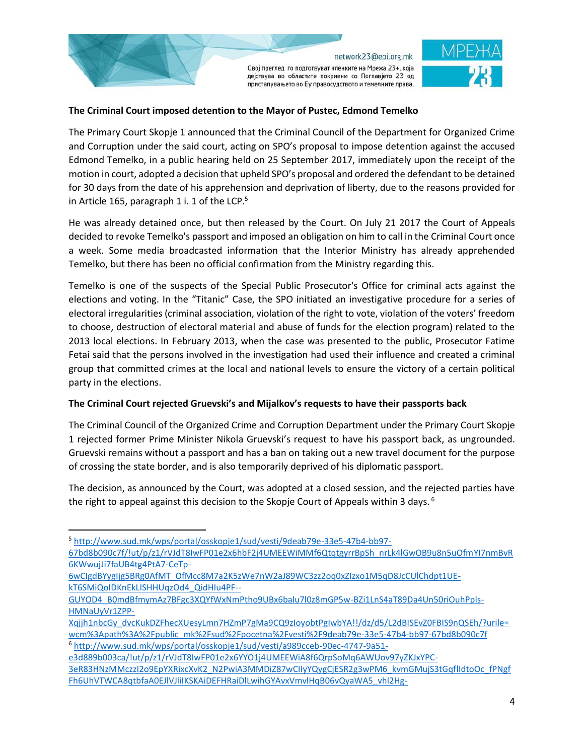

Овој преглед го подготвуват членките на Мрежа 23+, која дејствува во областите покриени со Поглавјето 23 од пристапувањето во Еу правосудството и темелните права.

## **The Criminal Court imposed detention to the Mayor of Pustec, Edmond Temelko**

The Primary Court Skopje 1 announced that the Criminal Council of the Department for Organized Crime and Corruption under the said court, acting on SPO's proposal to impose detention against the accused Edmond Temelko, in a public hearing held on 25 September 2017, immediately upon the receipt of the motion in court, adopted a decision that upheld SPO's proposal and ordered the defendant to be detained for 30 days from the date of his apprehension and deprivation of liberty, due to the reasons provided for in Article 165, paragraph 1 i. 1 of the LCP.<sup>5</sup>

He was already detained once, but then released by the Court. On July 21 2017 the Court of Appeals decided to revoke Temelko's passport and imposed an obligation on him to call in the Criminal Court once a week. Some media broadcasted information that the Interior Ministry has already apprehended Temelko, but there has been no official confirmation from the Ministry regarding this.

Temelko is one of the suspects of the Special Public Prosecutor's Office for criminal acts against the elections and voting. In the "Titanic" Case, the SPO initiated an investigative procedure for a series of electoral irregularities (criminal association, violation of the right to vote, violation of the voters' freedom to choose, destruction of electoral material and abuse of funds for the election program) related to the 2013 local elections. In February 2013, when the case was presented to the public, Prosecutor Fatime Fetai said that the persons involved in the investigation had used their influence and created a criminal group that committed crimes at the local and national levels to ensure the victory of a certain political party in the elections.

### **The Criminal Court rejected Gruevski's and Mijalkov's requests to have their passports back**

The Criminal Council of the Organized Crime and Corruption Department under the Primary Court Skopje 1 rejected former Prime Minister Nikola Gruevski's request to have his passport back, as ungrounded. Gruevski remains without a passport and has a ban on taking out a new travel document for the purpose of crossing the state border, and is also temporarily deprived of his diplomatic passport.

The decision, as announced by the Court, was adopted at a closed session, and the rejected parties have the right to appeal against this decision to the Skopje Court of Appeals within 3 days.<sup>6</sup>

 $\overline{\phantom{a}}$ 

[Xqjjh1nbcGy\\_dvcKukDZFhecXUesyLmn7HZmP7gMa9CQ9zIoyobtPgIwbYA!!/dz/d5/L2dBISEvZ0FBIS9nQSEh/?urile=](http://www.sud.mk/wps/portal/osskopje1/sud/vesti/9deab79e-33e5-47b4-bb97-67bd8b090c7f/!ut/p/z1/rVJdT8IwFP01e2x6hbF2j4UMEEWiMMf6QtqtgyrrBpSh_nrLk4lGwOB9u8n5uOfmYI7nmBvR6KWwujJi7faUB4tg4PtA7-CeTp-6wCIgdBYygIjg5BRg0AfMT_OfMcc8M7a2K5zWe7nW2aJ89WC3zz2oq0xZIzxo1M5qD8JcCUlChdpt1UE-kT6SMiQoIDKnEkLISHHUqzOd4_QidHIu4PF--GUYOD4_B0mdBfmymAz7BFgc3XQYfWxNmPtho9UBx6balu7l0z8mGP5w-BZi1LnS4aT89Da4Un50riOuhPpls-HMNaUyVr1ZPP-Xqjjh1nbcGy_dvcKukDZFhecXUesyLmn7HZmP7gMa9CQ9zIoyobtPgIwbYA!!/dz/d5/L2dBISEvZ0FBIS9nQSEh/?urile=wcm%3Apath%3A%2Fpublic_mk%2Fsud%2Fpocetna%2Fvesti%2F9deab79e-33e5-47b4-bb97-67bd8b090c7f) [wcm%3Apath%3A%2Fpublic\\_mk%2Fsud%2Fpocetna%2Fvesti%2F9deab79e-33e5-47b4-bb97-67bd8b090c7f](http://www.sud.mk/wps/portal/osskopje1/sud/vesti/9deab79e-33e5-47b4-bb97-67bd8b090c7f/!ut/p/z1/rVJdT8IwFP01e2x6hbF2j4UMEEWiMMf6QtqtgyrrBpSh_nrLk4lGwOB9u8n5uOfmYI7nmBvR6KWwujJi7faUB4tg4PtA7-CeTp-6wCIgdBYygIjg5BRg0AfMT_OfMcc8M7a2K5zWe7nW2aJ89WC3zz2oq0xZIzxo1M5qD8JcCUlChdpt1UE-kT6SMiQoIDKnEkLISHHUqzOd4_QidHIu4PF--GUYOD4_B0mdBfmymAz7BFgc3XQYfWxNmPtho9UBx6balu7l0z8mGP5w-BZi1LnS4aT89Da4Un50riOuhPpls-HMNaUyVr1ZPP-Xqjjh1nbcGy_dvcKukDZFhecXUesyLmn7HZmP7gMa9CQ9zIoyobtPgIwbYA!!/dz/d5/L2dBISEvZ0FBIS9nQSEh/?urile=wcm%3Apath%3A%2Fpublic_mk%2Fsud%2Fpocetna%2Fvesti%2F9deab79e-33e5-47b4-bb97-67bd8b090c7f) <sup>6</sup> [http://www.sud.mk/wps/portal/osskopje1/sud/vesti/a989cceb-90ec-4747-9a51-](http://www.sud.mk/wps/portal/osskopje1/sud/vesti/a989cceb-90ec-4747-9a51-e3d889b003ca/!ut/p/z1/rVJdT8IwFP01e2x6YYO1j4UMEEWiA8f6QrpSoMq6AWUov97yZKJxYPC-3eR83HNzMMczzI2o9EpYXRixcXvK2_N2PwiA3MMDiZ87wCIIyYQygCjESR2g3wPM6_kvmGMujS3tGqflIdtoOc_fPNgfFh6UhVTWCA8qtbfaA0EJlVJliIKSKAiDEFHRaiDlLwihGYAvxVmvlHqB06vQyaWA5_vhl2Hg-PwSJHUW4ZfFeNALgU2jRouRp-aYuR9WWh3x1BS73L08_mOCwQ-HbyGGrRsdauXju_aN8sNLHXEl1K_bLWeuKYWx6t3i2b9UxQk3d6PuaOXuFXaNtFkWeHYVtcynOfE_kDl1HlG_m5HjZJknZP8JHIdoqg!!/dz/d5/L2dBISEvZ0FBIS9nQSEh/?urile=wcm%3Apath%3A%2Fpublic_mk%2Fsud%2Fpocetna%2Fvesti%2Fa989cceb-90ec-4747-9a51-e3d889b003ca)

[e3d889b003ca/!ut/p/z1/rVJdT8IwFP01e2x6YYO1j4UMEEWiA8f6QrpSoMq6AWUov97yZKJxYPC-](http://www.sud.mk/wps/portal/osskopje1/sud/vesti/a989cceb-90ec-4747-9a51-e3d889b003ca/!ut/p/z1/rVJdT8IwFP01e2x6YYO1j4UMEEWiA8f6QrpSoMq6AWUov97yZKJxYPC-3eR83HNzMMczzI2o9EpYXRixcXvK2_N2PwiA3MMDiZ87wCIIyYQygCjESR2g3wPM6_kvmGMujS3tGqflIdtoOc_fPNgfFh6UhVTWCA8qtbfaA0EJlVJliIKSKAiDEFHRaiDlLwihGYAvxVmvlHqB06vQyaWA5_vhl2Hg-PwSJHUW4ZfFeNALgU2jRouRp-aYuR9WWh3x1BS73L08_mOCwQ-HbyGGrRsdauXju_aN8sNLHXEl1K_bLWeuKYWx6t3i2b9UxQk3d6PuaOXuFXaNtFkWeHYVtcynOfE_kDl1HlG_m5HjZJknZP8JHIdoqg!!/dz/d5/L2dBISEvZ0FBIS9nQSEh/?urile=wcm%3Apath%3A%2Fpublic_mk%2Fsud%2Fpocetna%2Fvesti%2Fa989cceb-90ec-4747-9a51-e3d889b003ca)[3eR83HNzMMczzI2o9EpYXRixcXvK2\\_N2PwiA3MMDiZ87wCIIyYQygCjESR2g3wPM6\\_kvmGMujS3tGqflIdtoOc\\_fPNgf](http://www.sud.mk/wps/portal/osskopje1/sud/vesti/a989cceb-90ec-4747-9a51-e3d889b003ca/!ut/p/z1/rVJdT8IwFP01e2x6YYO1j4UMEEWiA8f6QrpSoMq6AWUov97yZKJxYPC-3eR83HNzMMczzI2o9EpYXRixcXvK2_N2PwiA3MMDiZ87wCIIyYQygCjESR2g3wPM6_kvmGMujS3tGqflIdtoOc_fPNgfFh6UhVTWCA8qtbfaA0EJlVJliIKSKAiDEFHRaiDlLwihGYAvxVmvlHqB06vQyaWA5_vhl2Hg-PwSJHUW4ZfFeNALgU2jRouRp-aYuR9WWh3x1BS73L08_mOCwQ-HbyGGrRsdauXju_aN8sNLHXEl1K_bLWeuKYWx6t3i2b9UxQk3d6PuaOXuFXaNtFkWeHYVtcynOfE_kDl1HlG_m5HjZJknZP8JHIdoqg!!/dz/d5/L2dBISEvZ0FBIS9nQSEh/?urile=wcm%3Apath%3A%2Fpublic_mk%2Fsud%2Fpocetna%2Fvesti%2Fa989cceb-90ec-4747-9a51-e3d889b003ca) [Fh6UhVTWCA8qtbfaA0EJlVJliIKSKAiDEFHRaiDlLwihGYAvxVmvlHqB06vQyaWA5\\_vhl2Hg-](http://www.sud.mk/wps/portal/osskopje1/sud/vesti/a989cceb-90ec-4747-9a51-e3d889b003ca/!ut/p/z1/rVJdT8IwFP01e2x6YYO1j4UMEEWiA8f6QrpSoMq6AWUov97yZKJxYPC-3eR83HNzMMczzI2o9EpYXRixcXvK2_N2PwiA3MMDiZ87wCIIyYQygCjESR2g3wPM6_kvmGMujS3tGqflIdtoOc_fPNgfFh6UhVTWCA8qtbfaA0EJlVJliIKSKAiDEFHRaiDlLwihGYAvxVmvlHqB06vQyaWA5_vhl2Hg-PwSJHUW4ZfFeNALgU2jRouRp-aYuR9WWh3x1BS73L08_mOCwQ-HbyGGrRsdauXju_aN8sNLHXEl1K_bLWeuKYWx6t3i2b9UxQk3d6PuaOXuFXaNtFkWeHYVtcynOfE_kDl1HlG_m5HjZJknZP8JHIdoqg!!/dz/d5/L2dBISEvZ0FBIS9nQSEh/?urile=wcm%3Apath%3A%2Fpublic_mk%2Fsud%2Fpocetna%2Fvesti%2Fa989cceb-90ec-4747-9a51-e3d889b003ca)

<sup>5</sup> [http://www.sud.mk/wps/portal/osskopje1/sud/vesti/9deab79e-33e5-47b4-bb97-](http://www.sud.mk/wps/portal/osskopje1/sud/vesti/9deab79e-33e5-47b4-bb97-67bd8b090c7f/!ut/p/z1/rVJdT8IwFP01e2x6hbF2j4UMEEWiMMf6QtqtgyrrBpSh_nrLk4lGwOB9u8n5uOfmYI7nmBvR6KWwujJi7faUB4tg4PtA7-CeTp-6wCIgdBYygIjg5BRg0AfMT_OfMcc8M7a2K5zWe7nW2aJ89WC3zz2oq0xZIzxo1M5qD8JcCUlChdpt1UE-kT6SMiQoIDKnEkLISHHUqzOd4_QidHIu4PF--GUYOD4_B0mdBfmymAz7BFgc3XQYfWxNmPtho9UBx6balu7l0z8mGP5w-BZi1LnS4aT89Da4Un50riOuhPpls-HMNaUyVr1ZPP-Xqjjh1nbcGy_dvcKukDZFhecXUesyLmn7HZmP7gMa9CQ9zIoyobtPgIwbYA!!/dz/d5/L2dBISEvZ0FBIS9nQSEh/?urile=wcm%3Apath%3A%2Fpublic_mk%2Fsud%2Fpocetna%2Fvesti%2F9deab79e-33e5-47b4-bb97-67bd8b090c7f)

[<sup>67</sup>bd8b090c7f/!ut/p/z1/rVJdT8IwFP01e2x6hbF2j4UMEEWiMMf6QtqtgyrrBpSh\\_nrLk4lGwOB9u8n5uOfmYI7nmBvR](http://www.sud.mk/wps/portal/osskopje1/sud/vesti/9deab79e-33e5-47b4-bb97-67bd8b090c7f/!ut/p/z1/rVJdT8IwFP01e2x6hbF2j4UMEEWiMMf6QtqtgyrrBpSh_nrLk4lGwOB9u8n5uOfmYI7nmBvR6KWwujJi7faUB4tg4PtA7-CeTp-6wCIgdBYygIjg5BRg0AfMT_OfMcc8M7a2K5zWe7nW2aJ89WC3zz2oq0xZIzxo1M5qD8JcCUlChdpt1UE-kT6SMiQoIDKnEkLISHHUqzOd4_QidHIu4PF--GUYOD4_B0mdBfmymAz7BFgc3XQYfWxNmPtho9UBx6balu7l0z8mGP5w-BZi1LnS4aT89Da4Un50riOuhPpls-HMNaUyVr1ZPP-Xqjjh1nbcGy_dvcKukDZFhecXUesyLmn7HZmP7gMa9CQ9zIoyobtPgIwbYA!!/dz/d5/L2dBISEvZ0FBIS9nQSEh/?urile=wcm%3Apath%3A%2Fpublic_mk%2Fsud%2Fpocetna%2Fvesti%2F9deab79e-33e5-47b4-bb97-67bd8b090c7f) [6KWwujJi7faUB4tg4PtA7-CeTp-](http://www.sud.mk/wps/portal/osskopje1/sud/vesti/9deab79e-33e5-47b4-bb97-67bd8b090c7f/!ut/p/z1/rVJdT8IwFP01e2x6hbF2j4UMEEWiMMf6QtqtgyrrBpSh_nrLk4lGwOB9u8n5uOfmYI7nmBvR6KWwujJi7faUB4tg4PtA7-CeTp-6wCIgdBYygIjg5BRg0AfMT_OfMcc8M7a2K5zWe7nW2aJ89WC3zz2oq0xZIzxo1M5qD8JcCUlChdpt1UE-kT6SMiQoIDKnEkLISHHUqzOd4_QidHIu4PF--GUYOD4_B0mdBfmymAz7BFgc3XQYfWxNmPtho9UBx6balu7l0z8mGP5w-BZi1LnS4aT89Da4Un50riOuhPpls-HMNaUyVr1ZPP-Xqjjh1nbcGy_dvcKukDZFhecXUesyLmn7HZmP7gMa9CQ9zIoyobtPgIwbYA!!/dz/d5/L2dBISEvZ0FBIS9nQSEh/?urile=wcm%3Apath%3A%2Fpublic_mk%2Fsud%2Fpocetna%2Fvesti%2F9deab79e-33e5-47b4-bb97-67bd8b090c7f)

[<sup>6</sup>wCIgdBYygIjg5BRg0AfMT\\_OfMcc8M7a2K5zWe7nW2aJ89WC3zz2oq0xZIzxo1M5qD8JcCUlChdpt1UE](http://www.sud.mk/wps/portal/osskopje1/sud/vesti/9deab79e-33e5-47b4-bb97-67bd8b090c7f/!ut/p/z1/rVJdT8IwFP01e2x6hbF2j4UMEEWiMMf6QtqtgyrrBpSh_nrLk4lGwOB9u8n5uOfmYI7nmBvR6KWwujJi7faUB4tg4PtA7-CeTp-6wCIgdBYygIjg5BRg0AfMT_OfMcc8M7a2K5zWe7nW2aJ89WC3zz2oq0xZIzxo1M5qD8JcCUlChdpt1UE-kT6SMiQoIDKnEkLISHHUqzOd4_QidHIu4PF--GUYOD4_B0mdBfmymAz7BFgc3XQYfWxNmPtho9UBx6balu7l0z8mGP5w-BZi1LnS4aT89Da4Un50riOuhPpls-HMNaUyVr1ZPP-Xqjjh1nbcGy_dvcKukDZFhecXUesyLmn7HZmP7gMa9CQ9zIoyobtPgIwbYA!!/dz/d5/L2dBISEvZ0FBIS9nQSEh/?urile=wcm%3Apath%3A%2Fpublic_mk%2Fsud%2Fpocetna%2Fvesti%2F9deab79e-33e5-47b4-bb97-67bd8b090c7f)[kT6SMiQoIDKnEkLISHHUqzOd4\\_QidHIu4PF--](http://www.sud.mk/wps/portal/osskopje1/sud/vesti/9deab79e-33e5-47b4-bb97-67bd8b090c7f/!ut/p/z1/rVJdT8IwFP01e2x6hbF2j4UMEEWiMMf6QtqtgyrrBpSh_nrLk4lGwOB9u8n5uOfmYI7nmBvR6KWwujJi7faUB4tg4PtA7-CeTp-6wCIgdBYygIjg5BRg0AfMT_OfMcc8M7a2K5zWe7nW2aJ89WC3zz2oq0xZIzxo1M5qD8JcCUlChdpt1UE-kT6SMiQoIDKnEkLISHHUqzOd4_QidHIu4PF--GUYOD4_B0mdBfmymAz7BFgc3XQYfWxNmPtho9UBx6balu7l0z8mGP5w-BZi1LnS4aT89Da4Un50riOuhPpls-HMNaUyVr1ZPP-Xqjjh1nbcGy_dvcKukDZFhecXUesyLmn7HZmP7gMa9CQ9zIoyobtPgIwbYA!!/dz/d5/L2dBISEvZ0FBIS9nQSEh/?urile=wcm%3Apath%3A%2Fpublic_mk%2Fsud%2Fpocetna%2Fvesti%2F9deab79e-33e5-47b4-bb97-67bd8b090c7f)

[GUYOD4\\_B0mdBfmymAz7BFgc3XQYfWxNmPtho9UBx6balu7l0z8mGP5w-BZi1LnS4aT89Da4Un50riOuhPpls-](http://www.sud.mk/wps/portal/osskopje1/sud/vesti/9deab79e-33e5-47b4-bb97-67bd8b090c7f/!ut/p/z1/rVJdT8IwFP01e2x6hbF2j4UMEEWiMMf6QtqtgyrrBpSh_nrLk4lGwOB9u8n5uOfmYI7nmBvR6KWwujJi7faUB4tg4PtA7-CeTp-6wCIgdBYygIjg5BRg0AfMT_OfMcc8M7a2K5zWe7nW2aJ89WC3zz2oq0xZIzxo1M5qD8JcCUlChdpt1UE-kT6SMiQoIDKnEkLISHHUqzOd4_QidHIu4PF--GUYOD4_B0mdBfmymAz7BFgc3XQYfWxNmPtho9UBx6balu7l0z8mGP5w-BZi1LnS4aT89Da4Un50riOuhPpls-HMNaUyVr1ZPP-Xqjjh1nbcGy_dvcKukDZFhecXUesyLmn7HZmP7gMa9CQ9zIoyobtPgIwbYA!!/dz/d5/L2dBISEvZ0FBIS9nQSEh/?urile=wcm%3Apath%3A%2Fpublic_mk%2Fsud%2Fpocetna%2Fvesti%2F9deab79e-33e5-47b4-bb97-67bd8b090c7f)[HMNaUyVr1ZPP-](http://www.sud.mk/wps/portal/osskopje1/sud/vesti/9deab79e-33e5-47b4-bb97-67bd8b090c7f/!ut/p/z1/rVJdT8IwFP01e2x6hbF2j4UMEEWiMMf6QtqtgyrrBpSh_nrLk4lGwOB9u8n5uOfmYI7nmBvR6KWwujJi7faUB4tg4PtA7-CeTp-6wCIgdBYygIjg5BRg0AfMT_OfMcc8M7a2K5zWe7nW2aJ89WC3zz2oq0xZIzxo1M5qD8JcCUlChdpt1UE-kT6SMiQoIDKnEkLISHHUqzOd4_QidHIu4PF--GUYOD4_B0mdBfmymAz7BFgc3XQYfWxNmPtho9UBx6balu7l0z8mGP5w-BZi1LnS4aT89Da4Un50riOuhPpls-HMNaUyVr1ZPP-Xqjjh1nbcGy_dvcKukDZFhecXUesyLmn7HZmP7gMa9CQ9zIoyobtPgIwbYA!!/dz/d5/L2dBISEvZ0FBIS9nQSEh/?urile=wcm%3Apath%3A%2Fpublic_mk%2Fsud%2Fpocetna%2Fvesti%2F9deab79e-33e5-47b4-bb97-67bd8b090c7f)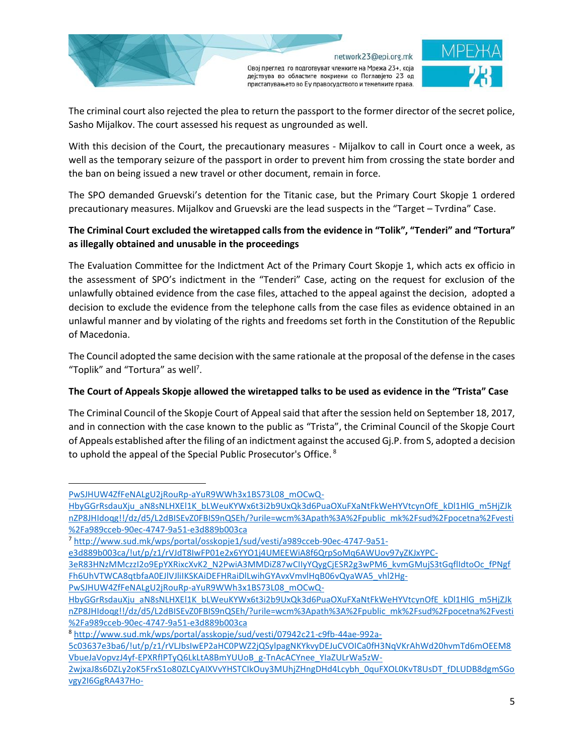



The criminal court also rejected the plea to return the passport to the former director of the secret police, Sasho Mijalkov. The court assessed his request as ungrounded as well.

With this decision of the Court, the precautionary measures - Mijalkov to call in Court once a week, as well as the temporary seizure of the passport in order to prevent him from crossing the state border and the ban on being issued a new travel or other document, remain in force.

The SPO demanded Gruevski's detention for the Titanic case, but the Primary Court Skopje 1 ordered precautionary measures. Mijalkov and Gruevski are the lead suspects in the "Target – Tvrdina" Case.

# **The Criminal Court excluded the wiretapped calls from the evidence in "Tolik", "Tenderi" and "Tortura" as illegally obtained and unusable in the proceedings**

The Evaluation Committee for the Indictment Act of the Primary Court Skopje 1, which acts ex officio in the assessment of SPO's indictment in the "Tenderi" Case, acting on the request for exclusion of the unlawfully obtained evidence from the case files, attached to the appeal against the decision, adopted a decision to exclude the evidence from the telephone calls from the case files as evidence obtained in an unlawful manner and by violating of the rights and freedoms set forth in the Constitution of the Republic of Macedonia.

The Council adopted the same decision with the same rationale at the proposal of the defense in the cases "Toplik" and "Tortura" as well<sup>7</sup>.

# **The Court of Appeals Skopje allowed the wiretapped talks to be used as evidence in the "Trista" Case**

The Criminal Council of the Skopje Court of Appeal said that after the session held on September 18, 2017, and in connection with the case known to the public as "Trista", the Criminal Council of the Skopje Court of Appeals established after the filing of an indictment against the accused Gj.P. from S, adopted a decision to uphold the appeal of the Special Public Prosecutor's Office. <sup>8</sup>

[PwSJHUW4ZfFeNALgU2jRouRp-aYuR9WWh3x1BS73L08\\_mOCwQ-](http://www.sud.mk/wps/portal/osskopje1/sud/vesti/a989cceb-90ec-4747-9a51-e3d889b003ca/!ut/p/z1/rVJdT8IwFP01e2x6YYO1j4UMEEWiA8f6QrpSoMq6AWUov97yZKJxYPC-3eR83HNzMMczzI2o9EpYXRixcXvK2_N2PwiA3MMDiZ87wCIIyYQygCjESR2g3wPM6_kvmGMujS3tGqflIdtoOc_fPNgfFh6UhVTWCA8qtbfaA0EJlVJliIKSKAiDEFHRaiDlLwihGYAvxVmvlHqB06vQyaWA5_vhl2Hg-PwSJHUW4ZfFeNALgU2jRouRp-aYuR9WWh3x1BS73L08_mOCwQ-HbyGGrRsdauXju_aN8sNLHXEl1K_bLWeuKYWx6t3i2b9UxQk3d6PuaOXuFXaNtFkWeHYVtcynOfE_kDl1HlG_m5HjZJknZP8JHIdoqg!!/dz/d5/L2dBISEvZ0FBIS9nQSEh/?urile=wcm%3Apath%3A%2Fpublic_mk%2Fsud%2Fpocetna%2Fvesti%2Fa989cceb-90ec-4747-9a51-e3d889b003ca)

[HbyGGrRsdauXju\\_aN8sNLHXEl1K\\_bLWeuKYWx6t3i2b9UxQk3d6PuaOXuFXaNtFkWeHYVtcynOfE\\_kDl1HlG\\_m5HjZJk](http://www.sud.mk/wps/portal/osskopje1/sud/vesti/a989cceb-90ec-4747-9a51-e3d889b003ca/!ut/p/z1/rVJdT8IwFP01e2x6YYO1j4UMEEWiA8f6QrpSoMq6AWUov97yZKJxYPC-3eR83HNzMMczzI2o9EpYXRixcXvK2_N2PwiA3MMDiZ87wCIIyYQygCjESR2g3wPM6_kvmGMujS3tGqflIdtoOc_fPNgfFh6UhVTWCA8qtbfaA0EJlVJliIKSKAiDEFHRaiDlLwihGYAvxVmvlHqB06vQyaWA5_vhl2Hg-PwSJHUW4ZfFeNALgU2jRouRp-aYuR9WWh3x1BS73L08_mOCwQ-HbyGGrRsdauXju_aN8sNLHXEl1K_bLWeuKYWx6t3i2b9UxQk3d6PuaOXuFXaNtFkWeHYVtcynOfE_kDl1HlG_m5HjZJknZP8JHIdoqg!!/dz/d5/L2dBISEvZ0FBIS9nQSEh/?urile=wcm%3Apath%3A%2Fpublic_mk%2Fsud%2Fpocetna%2Fvesti%2Fa989cceb-90ec-4747-9a51-e3d889b003ca) [nZP8JHIdoqg!!/dz/d5/L2dBISEvZ0FBIS9nQSEh/?urile=wcm%3Apath%3A%2Fpublic\\_mk%2Fsud%2Fpocetna%2Fvesti](http://www.sud.mk/wps/portal/osskopje1/sud/vesti/a989cceb-90ec-4747-9a51-e3d889b003ca/!ut/p/z1/rVJdT8IwFP01e2x6YYO1j4UMEEWiA8f6QrpSoMq6AWUov97yZKJxYPC-3eR83HNzMMczzI2o9EpYXRixcXvK2_N2PwiA3MMDiZ87wCIIyYQygCjESR2g3wPM6_kvmGMujS3tGqflIdtoOc_fPNgfFh6UhVTWCA8qtbfaA0EJlVJliIKSKAiDEFHRaiDlLwihGYAvxVmvlHqB06vQyaWA5_vhl2Hg-PwSJHUW4ZfFeNALgU2jRouRp-aYuR9WWh3x1BS73L08_mOCwQ-HbyGGrRsdauXju_aN8sNLHXEl1K_bLWeuKYWx6t3i2b9UxQk3d6PuaOXuFXaNtFkWeHYVtcynOfE_kDl1HlG_m5HjZJknZP8JHIdoqg!!/dz/d5/L2dBISEvZ0FBIS9nQSEh/?urile=wcm%3Apath%3A%2Fpublic_mk%2Fsud%2Fpocetna%2Fvesti%2Fa989cceb-90ec-4747-9a51-e3d889b003ca) [%2Fa989cceb-90ec-4747-9a51-e3d889b003ca](http://www.sud.mk/wps/portal/osskopje1/sud/vesti/a989cceb-90ec-4747-9a51-e3d889b003ca/!ut/p/z1/rVJdT8IwFP01e2x6YYO1j4UMEEWiA8f6QrpSoMq6AWUov97yZKJxYPC-3eR83HNzMMczzI2o9EpYXRixcXvK2_N2PwiA3MMDiZ87wCIIyYQygCjESR2g3wPM6_kvmGMujS3tGqflIdtoOc_fPNgfFh6UhVTWCA8qtbfaA0EJlVJliIKSKAiDEFHRaiDlLwihGYAvxVmvlHqB06vQyaWA5_vhl2Hg-PwSJHUW4ZfFeNALgU2jRouRp-aYuR9WWh3x1BS73L08_mOCwQ-HbyGGrRsdauXju_aN8sNLHXEl1K_bLWeuKYWx6t3i2b9UxQk3d6PuaOXuFXaNtFkWeHYVtcynOfE_kDl1HlG_m5HjZJknZP8JHIdoqg!!/dz/d5/L2dBISEvZ0FBIS9nQSEh/?urile=wcm%3Apath%3A%2Fpublic_mk%2Fsud%2Fpocetna%2Fvesti%2Fa989cceb-90ec-4747-9a51-e3d889b003ca)

<sup>7</sup> [http://www.sud.mk/wps/portal/osskopje1/sud/vesti/a989cceb-90ec-4747-9a51-](http://www.sud.mk/wps/portal/osskopje1/sud/vesti/a989cceb-90ec-4747-9a51-e3d889b003ca/!ut/p/z1/rVJdT8IwFP01e2x6YYO1j4UMEEWiA8f6QrpSoMq6AWUov97yZKJxYPC-3eR83HNzMMczzI2o9EpYXRixcXvK2_N2PwiA3MMDiZ87wCIIyYQygCjESR2g3wPM6_kvmGMujS3tGqflIdtoOc_fPNgfFh6UhVTWCA8qtbfaA0EJlVJliIKSKAiDEFHRaiDlLwihGYAvxVmvlHqB06vQyaWA5_vhl2Hg-PwSJHUW4ZfFeNALgU2jRouRp-aYuR9WWh3x1BS73L08_mOCwQ-HbyGGrRsdauXju_aN8sNLHXEl1K_bLWeuKYWx6t3i2b9UxQk3d6PuaOXuFXaNtFkWeHYVtcynOfE_kDl1HlG_m5HjZJknZP8JHIdoqg!!/dz/d5/L2dBISEvZ0FBIS9nQSEh/?urile=wcm%3Apath%3A%2Fpublic_mk%2Fsud%2Fpocetna%2Fvesti%2Fa989cceb-90ec-4747-9a51-e3d889b003ca)

[e3d889b003ca/!ut/p/z1/rVJdT8IwFP01e2x6YYO1j4UMEEWiA8f6QrpSoMq6AWUov97yZKJxYPC-](http://www.sud.mk/wps/portal/osskopje1/sud/vesti/a989cceb-90ec-4747-9a51-e3d889b003ca/!ut/p/z1/rVJdT8IwFP01e2x6YYO1j4UMEEWiA8f6QrpSoMq6AWUov97yZKJxYPC-3eR83HNzMMczzI2o9EpYXRixcXvK2_N2PwiA3MMDiZ87wCIIyYQygCjESR2g3wPM6_kvmGMujS3tGqflIdtoOc_fPNgfFh6UhVTWCA8qtbfaA0EJlVJliIKSKAiDEFHRaiDlLwihGYAvxVmvlHqB06vQyaWA5_vhl2Hg-PwSJHUW4ZfFeNALgU2jRouRp-aYuR9WWh3x1BS73L08_mOCwQ-HbyGGrRsdauXju_aN8sNLHXEl1K_bLWeuKYWx6t3i2b9UxQk3d6PuaOXuFXaNtFkWeHYVtcynOfE_kDl1HlG_m5HjZJknZP8JHIdoqg!!/dz/d5/L2dBISEvZ0FBIS9nQSEh/?urile=wcm%3Apath%3A%2Fpublic_mk%2Fsud%2Fpocetna%2Fvesti%2Fa989cceb-90ec-4747-9a51-e3d889b003ca)

[<sup>3</sup>eR83HNzMMczzI2o9EpYXRixcXvK2\\_N2PwiA3MMDiZ87wCIIyYQygCjESR2g3wPM6\\_kvmGMujS3tGqflIdtoOc\\_fPNgf](http://www.sud.mk/wps/portal/osskopje1/sud/vesti/a989cceb-90ec-4747-9a51-e3d889b003ca/!ut/p/z1/rVJdT8IwFP01e2x6YYO1j4UMEEWiA8f6QrpSoMq6AWUov97yZKJxYPC-3eR83HNzMMczzI2o9EpYXRixcXvK2_N2PwiA3MMDiZ87wCIIyYQygCjESR2g3wPM6_kvmGMujS3tGqflIdtoOc_fPNgfFh6UhVTWCA8qtbfaA0EJlVJliIKSKAiDEFHRaiDlLwihGYAvxVmvlHqB06vQyaWA5_vhl2Hg-PwSJHUW4ZfFeNALgU2jRouRp-aYuR9WWh3x1BS73L08_mOCwQ-HbyGGrRsdauXju_aN8sNLHXEl1K_bLWeuKYWx6t3i2b9UxQk3d6PuaOXuFXaNtFkWeHYVtcynOfE_kDl1HlG_m5HjZJknZP8JHIdoqg!!/dz/d5/L2dBISEvZ0FBIS9nQSEh/?urile=wcm%3Apath%3A%2Fpublic_mk%2Fsud%2Fpocetna%2Fvesti%2Fa989cceb-90ec-4747-9a51-e3d889b003ca) [Fh6UhVTWCA8qtbfaA0EJlVJliIKSKAiDEFHRaiDlLwihGYAvxVmvlHqB06vQyaWA5\\_vhl2Hg-](http://www.sud.mk/wps/portal/osskopje1/sud/vesti/a989cceb-90ec-4747-9a51-e3d889b003ca/!ut/p/z1/rVJdT8IwFP01e2x6YYO1j4UMEEWiA8f6QrpSoMq6AWUov97yZKJxYPC-3eR83HNzMMczzI2o9EpYXRixcXvK2_N2PwiA3MMDiZ87wCIIyYQygCjESR2g3wPM6_kvmGMujS3tGqflIdtoOc_fPNgfFh6UhVTWCA8qtbfaA0EJlVJliIKSKAiDEFHRaiDlLwihGYAvxVmvlHqB06vQyaWA5_vhl2Hg-PwSJHUW4ZfFeNALgU2jRouRp-aYuR9WWh3x1BS73L08_mOCwQ-HbyGGrRsdauXju_aN8sNLHXEl1K_bLWeuKYWx6t3i2b9UxQk3d6PuaOXuFXaNtFkWeHYVtcynOfE_kDl1HlG_m5HjZJknZP8JHIdoqg!!/dz/d5/L2dBISEvZ0FBIS9nQSEh/?urile=wcm%3Apath%3A%2Fpublic_mk%2Fsud%2Fpocetna%2Fvesti%2Fa989cceb-90ec-4747-9a51-e3d889b003ca)

[PwSJHUW4ZfFeNALgU2jRouRp-aYuR9WWh3x1BS73L08\\_mOCwQ-](http://www.sud.mk/wps/portal/osskopje1/sud/vesti/a989cceb-90ec-4747-9a51-e3d889b003ca/!ut/p/z1/rVJdT8IwFP01e2x6YYO1j4UMEEWiA8f6QrpSoMq6AWUov97yZKJxYPC-3eR83HNzMMczzI2o9EpYXRixcXvK2_N2PwiA3MMDiZ87wCIIyYQygCjESR2g3wPM6_kvmGMujS3tGqflIdtoOc_fPNgfFh6UhVTWCA8qtbfaA0EJlVJliIKSKAiDEFHRaiDlLwihGYAvxVmvlHqB06vQyaWA5_vhl2Hg-PwSJHUW4ZfFeNALgU2jRouRp-aYuR9WWh3x1BS73L08_mOCwQ-HbyGGrRsdauXju_aN8sNLHXEl1K_bLWeuKYWx6t3i2b9UxQk3d6PuaOXuFXaNtFkWeHYVtcynOfE_kDl1HlG_m5HjZJknZP8JHIdoqg!!/dz/d5/L2dBISEvZ0FBIS9nQSEh/?urile=wcm%3Apath%3A%2Fpublic_mk%2Fsud%2Fpocetna%2Fvesti%2Fa989cceb-90ec-4747-9a51-e3d889b003ca)

HbyGGrRsdauXju aN8sNLHXEl1K\_bLWeuKYWx6t3i2b9UxQk3d6PuaOXuFXaNtFkWeHYVtcynOfE\_kDl1HlG\_m5HjZJk [nZP8JHIdoqg!!/dz/d5/L2dBISEvZ0FBIS9nQSEh/?urile=wcm%3Apath%3A%2Fpublic\\_mk%2Fsud%2Fpocetna%2Fvesti](http://www.sud.mk/wps/portal/osskopje1/sud/vesti/a989cceb-90ec-4747-9a51-e3d889b003ca/!ut/p/z1/rVJdT8IwFP01e2x6YYO1j4UMEEWiA8f6QrpSoMq6AWUov97yZKJxYPC-3eR83HNzMMczzI2o9EpYXRixcXvK2_N2PwiA3MMDiZ87wCIIyYQygCjESR2g3wPM6_kvmGMujS3tGqflIdtoOc_fPNgfFh6UhVTWCA8qtbfaA0EJlVJliIKSKAiDEFHRaiDlLwihGYAvxVmvlHqB06vQyaWA5_vhl2Hg-PwSJHUW4ZfFeNALgU2jRouRp-aYuR9WWh3x1BS73L08_mOCwQ-HbyGGrRsdauXju_aN8sNLHXEl1K_bLWeuKYWx6t3i2b9UxQk3d6PuaOXuFXaNtFkWeHYVtcynOfE_kDl1HlG_m5HjZJknZP8JHIdoqg!!/dz/d5/L2dBISEvZ0FBIS9nQSEh/?urile=wcm%3Apath%3A%2Fpublic_mk%2Fsud%2Fpocetna%2Fvesti%2Fa989cceb-90ec-4747-9a51-e3d889b003ca) [%2Fa989cceb-90ec-4747-9a51-e3d889b003ca](http://www.sud.mk/wps/portal/osskopje1/sud/vesti/a989cceb-90ec-4747-9a51-e3d889b003ca/!ut/p/z1/rVJdT8IwFP01e2x6YYO1j4UMEEWiA8f6QrpSoMq6AWUov97yZKJxYPC-3eR83HNzMMczzI2o9EpYXRixcXvK2_N2PwiA3MMDiZ87wCIIyYQygCjESR2g3wPM6_kvmGMujS3tGqflIdtoOc_fPNgfFh6UhVTWCA8qtbfaA0EJlVJliIKSKAiDEFHRaiDlLwihGYAvxVmvlHqB06vQyaWA5_vhl2Hg-PwSJHUW4ZfFeNALgU2jRouRp-aYuR9WWh3x1BS73L08_mOCwQ-HbyGGrRsdauXju_aN8sNLHXEl1K_bLWeuKYWx6t3i2b9UxQk3d6PuaOXuFXaNtFkWeHYVtcynOfE_kDl1HlG_m5HjZJknZP8JHIdoqg!!/dz/d5/L2dBISEvZ0FBIS9nQSEh/?urile=wcm%3Apath%3A%2Fpublic_mk%2Fsud%2Fpocetna%2Fvesti%2Fa989cceb-90ec-4747-9a51-e3d889b003ca)

<sup>8</sup> [http://www.sud.mk/wps/portal/asskopje/sud/vesti/07942c21-c9fb-44ae-992a-](http://www.sud.mk/wps/portal/asskopje/sud/vesti/07942c21-c9fb-44ae-992a-5c03637e3ba6/!ut/p/z1/rVLJbsIwEP2aHC0PWZ2jQSylpagNKYkvyDEJuCVOICa0fH3NqVKrAhWd20hvmTd6mOEEM8VbueJaVopvzJ4yf-EPXRfIPTyQ6LkLtA8BmYUUoB_g-TnAcACYnee_YIaZULrWa5zW-2wjxaJ8s6DZLy2oK5FrxS1o80ZLCyAIXVvYHSTCIkOuy3MUhjZHngDHd4Lcybh_0quFXOL0KvT8UsDT_fDLUDB8dgmSGovgy2I6GgRA437Ho-TJnlLzw1bmBxyraleal0d_TDD64fAtxNi70eGsfHTn3yg_vtQRU0L5ut0yappSKZ2_a5z8S1WMsL2b9CYrcy_XayRVUeHkKmpdxiVxPpA6dh_RsJeRw6wo56T5BLLdCx4!/dz/d5/L2dBISEvZ0FBIS9nQSEh/?urile=wcm%3Apath%3A%2Fpublic_mk%2Fsud%2Fpocetna%2Fvesti%2F07942c21-c9fb-44ae-992a-5c03637e3ba6)

[<sup>5</sup>c03637e3ba6/!ut/p/z1/rVLJbsIwEP2aHC0PWZ2jQSylpagNKYkvyDEJuCVOICa0fH3NqVKrAhWd20hvmTd6mOEEM8](http://www.sud.mk/wps/portal/asskopje/sud/vesti/07942c21-c9fb-44ae-992a-5c03637e3ba6/!ut/p/z1/rVLJbsIwEP2aHC0PWZ2jQSylpagNKYkvyDEJuCVOICa0fH3NqVKrAhWd20hvmTd6mOEEM8VbueJaVopvzJ4yf-EPXRfIPTyQ6LkLtA8BmYUUoB_g-TnAcACYnee_YIaZULrWa5zW-2wjxaJ8s6DZLy2oK5FrxS1o80ZLCyAIXVvYHSTCIkOuy3MUhjZHngDHd4Lcybh_0quFXOL0KvT8UsDT_fDLUDB8dgmSGovgy2I6GgRA437Ho-TJnlLzw1bmBxyraleal0d_TDD64fAtxNi70eGsfHTn3yg_vtQRU0L5ut0yappSKZ2_a5z8S1WMsL2b9CYrcy_XayRVUeHkKmpdxiVxPpA6dh_RsJeRw6wo56T5BLLdCx4!/dz/d5/L2dBISEvZ0FBIS9nQSEh/?urile=wcm%3Apath%3A%2Fpublic_mk%2Fsud%2Fpocetna%2Fvesti%2F07942c21-c9fb-44ae-992a-5c03637e3ba6) [VbueJaVopvzJ4yf-EPXRfIPTyQ6LkLtA8BmYUUoB\\_g-TnAcACYnee\\_YIaZULrWa5zW-](http://www.sud.mk/wps/portal/asskopje/sud/vesti/07942c21-c9fb-44ae-992a-5c03637e3ba6/!ut/p/z1/rVLJbsIwEP2aHC0PWZ2jQSylpagNKYkvyDEJuCVOICa0fH3NqVKrAhWd20hvmTd6mOEEM8VbueJaVopvzJ4yf-EPXRfIPTyQ6LkLtA8BmYUUoB_g-TnAcACYnee_YIaZULrWa5zW-2wjxaJ8s6DZLy2oK5FrxS1o80ZLCyAIXVvYHSTCIkOuy3MUhjZHngDHd4Lcybh_0quFXOL0KvT8UsDT_fDLUDB8dgmSGovgy2I6GgRA437Ho-TJnlLzw1bmBxyraleal0d_TDD64fAtxNi70eGsfHTn3yg_vtQRU0L5ut0yappSKZ2_a5z8S1WMsL2b9CYrcy_XayRVUeHkKmpdxiVxPpA6dh_RsJeRw6wo56T5BLLdCx4!/dz/d5/L2dBISEvZ0FBIS9nQSEh/?urile=wcm%3Apath%3A%2Fpublic_mk%2Fsud%2Fpocetna%2Fvesti%2F07942c21-c9fb-44ae-992a-5c03637e3ba6)

[<sup>2</sup>wjxaJ8s6DZLy2oK5FrxS1o80ZLCyAIXVvYHSTCIkOuy3MUhjZHngDHd4Lcybh\\_0quFXOL0KvT8UsDT\\_fDLUDB8dgmSGo](http://www.sud.mk/wps/portal/asskopje/sud/vesti/07942c21-c9fb-44ae-992a-5c03637e3ba6/!ut/p/z1/rVLJbsIwEP2aHC0PWZ2jQSylpagNKYkvyDEJuCVOICa0fH3NqVKrAhWd20hvmTd6mOEEM8VbueJaVopvzJ4yf-EPXRfIPTyQ6LkLtA8BmYUUoB_g-TnAcACYnee_YIaZULrWa5zW-2wjxaJ8s6DZLy2oK5FrxS1o80ZLCyAIXVvYHSTCIkOuy3MUhjZHngDHd4Lcybh_0quFXOL0KvT8UsDT_fDLUDB8dgmSGovgy2I6GgRA437Ho-TJnlLzw1bmBxyraleal0d_TDD64fAtxNi70eGsfHTn3yg_vtQRU0L5ut0yappSKZ2_a5z8S1WMsL2b9CYrcy_XayRVUeHkKmpdxiVxPpA6dh_RsJeRw6wo56T5BLLdCx4!/dz/d5/L2dBISEvZ0FBIS9nQSEh/?urile=wcm%3Apath%3A%2Fpublic_mk%2Fsud%2Fpocetna%2Fvesti%2F07942c21-c9fb-44ae-992a-5c03637e3ba6) [vgy2I6GgRA437Ho-](http://www.sud.mk/wps/portal/asskopje/sud/vesti/07942c21-c9fb-44ae-992a-5c03637e3ba6/!ut/p/z1/rVLJbsIwEP2aHC0PWZ2jQSylpagNKYkvyDEJuCVOICa0fH3NqVKrAhWd20hvmTd6mOEEM8VbueJaVopvzJ4yf-EPXRfIPTyQ6LkLtA8BmYUUoB_g-TnAcACYnee_YIaZULrWa5zW-2wjxaJ8s6DZLy2oK5FrxS1o80ZLCyAIXVvYHSTCIkOuy3MUhjZHngDHd4Lcybh_0quFXOL0KvT8UsDT_fDLUDB8dgmSGovgy2I6GgRA437Ho-TJnlLzw1bmBxyraleal0d_TDD64fAtxNi70eGsfHTn3yg_vtQRU0L5ut0yappSKZ2_a5z8S1WMsL2b9CYrcy_XayRVUeHkKmpdxiVxPpA6dh_RsJeRw6wo56T5BLLdCx4!/dz/d5/L2dBISEvZ0FBIS9nQSEh/?urile=wcm%3Apath%3A%2Fpublic_mk%2Fsud%2Fpocetna%2Fvesti%2F07942c21-c9fb-44ae-992a-5c03637e3ba6)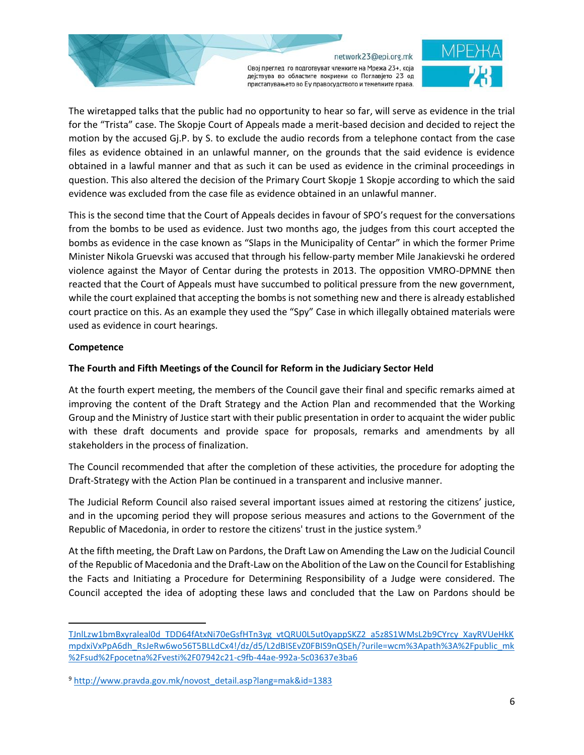Овој преглед го подготвуват членките на Мрежа 23+, која дејствува во областите покриени со Поглавјето 23 од пристапувањето во Еу правосудството и темелните права.

The wiretapped talks that the public had no opportunity to hear so far, will serve as evidence in the trial for the "Trista" case. The Skopje Court of Appeals made a merit-based decision and decided to reject the motion by the accused Gj.P. by S. to exclude the audio records from a telephone contact from the case files as evidence obtained in an unlawful manner, on the grounds that the said evidence is evidence obtained in a lawful manner and that as such it can be used as evidence in the criminal proceedings in question. This also altered the decision of the Primary Court Skopje 1 Skopje according to which the said evidence was excluded from the case file as evidence obtained in an unlawful manner.

This is the second time that the Court of Appeals decides in favour of SPO's request for the conversations from the bombs to be used as evidence. Just two months ago, the judges from this court accepted the bombs as evidence in the case known as "Slaps in the Municipality of Centar" in which the former Prime Minister Nikola Gruevski was accused that through his fellow-party member Mile Janakievski he ordered violence against the Mayor of Centar during the protests in 2013. The opposition VMRO-DPMNE then reacted that the Court of Appeals must have succumbed to political pressure from the new government, while the court explained that accepting the bombs is not something new and there is already established court practice on this. As an example they used the "Spy" Case in which illegally obtained materials were used as evidence in court hearings.

### **Competence**

 $\overline{\phantom{a}}$ 

## **The Fourth and Fifth Meetings of the Council for Reform in the Judiciary Sector Held**

At the fourth expert meeting, the members of the Council gave their final and specific remarks aimed at improving the content of the Draft Strategy and the Action Plan and recommended that the Working Group and the Ministry of Justice start with their public presentation in order to acquaint the wider public with these draft documents and provide space for proposals, remarks and amendments by all stakeholders in the process of finalization.

The Council recommended that after the completion of these activities, the procedure for adopting the Draft-Strategy with the Action Plan be continued in a transparent and inclusive manner.

The Judicial Reform Council also raised several important issues aimed at restoring the citizens' justice, and in the upcoming period they will propose serious measures and actions to the Government of the Republic of Macedonia, in order to restore the citizens' trust in the justice system.<sup>9</sup>

At the fifth meeting, the Draft Law on Pardons, the Draft Law on Amending the Law on the Judicial Council of the Republic of Macedonia and the Draft-Law on the Abolition of the Law on the Council for Establishing the Facts and Initiating a Procedure for Determining Responsibility of a Judge were considered. The Council accepted the idea of adopting these laws and concluded that the Law on Pardons should be

[TJnlLzw1bmBxyraleal0d\\_TDD64fAtxNi70eGsfHTn3yg\\_vtQRU0L5ut0yappSKZ2\\_a5z8S1WMsL2b9CYrcy\\_XayRVUeHkK](http://www.sud.mk/wps/portal/asskopje/sud/vesti/07942c21-c9fb-44ae-992a-5c03637e3ba6/!ut/p/z1/rVLJbsIwEP2aHC0PWZ2jQSylpagNKYkvyDEJuCVOICa0fH3NqVKrAhWd20hvmTd6mOEEM8VbueJaVopvzJ4yf-EPXRfIPTyQ6LkLtA8BmYUUoB_g-TnAcACYnee_YIaZULrWa5zW-2wjxaJ8s6DZLy2oK5FrxS1o80ZLCyAIXVvYHSTCIkOuy3MUhjZHngDHd4Lcybh_0quFXOL0KvT8UsDT_fDLUDB8dgmSGovgy2I6GgRA437Ho-TJnlLzw1bmBxyraleal0d_TDD64fAtxNi70eGsfHTn3yg_vtQRU0L5ut0yappSKZ2_a5z8S1WMsL2b9CYrcy_XayRVUeHkKmpdxiVxPpA6dh_RsJeRw6wo56T5BLLdCx4!/dz/d5/L2dBISEvZ0FBIS9nQSEh/?urile=wcm%3Apath%3A%2Fpublic_mk%2Fsud%2Fpocetna%2Fvesti%2F07942c21-c9fb-44ae-992a-5c03637e3ba6) [mpdxiVxPpA6dh\\_RsJeRw6wo56T5BLLdCx4!/dz/d5/L2dBISEvZ0FBIS9nQSEh/?urile=wcm%3Apath%3A%2Fpublic\\_mk](http://www.sud.mk/wps/portal/asskopje/sud/vesti/07942c21-c9fb-44ae-992a-5c03637e3ba6/!ut/p/z1/rVLJbsIwEP2aHC0PWZ2jQSylpagNKYkvyDEJuCVOICa0fH3NqVKrAhWd20hvmTd6mOEEM8VbueJaVopvzJ4yf-EPXRfIPTyQ6LkLtA8BmYUUoB_g-TnAcACYnee_YIaZULrWa5zW-2wjxaJ8s6DZLy2oK5FrxS1o80ZLCyAIXVvYHSTCIkOuy3MUhjZHngDHd4Lcybh_0quFXOL0KvT8UsDT_fDLUDB8dgmSGovgy2I6GgRA437Ho-TJnlLzw1bmBxyraleal0d_TDD64fAtxNi70eGsfHTn3yg_vtQRU0L5ut0yappSKZ2_a5z8S1WMsL2b9CYrcy_XayRVUeHkKmpdxiVxPpA6dh_RsJeRw6wo56T5BLLdCx4!/dz/d5/L2dBISEvZ0FBIS9nQSEh/?urile=wcm%3Apath%3A%2Fpublic_mk%2Fsud%2Fpocetna%2Fvesti%2F07942c21-c9fb-44ae-992a-5c03637e3ba6) [%2Fsud%2Fpocetna%2Fvesti%2F07942c21-c9fb-44ae-992a-5c03637e3ba6](http://www.sud.mk/wps/portal/asskopje/sud/vesti/07942c21-c9fb-44ae-992a-5c03637e3ba6/!ut/p/z1/rVLJbsIwEP2aHC0PWZ2jQSylpagNKYkvyDEJuCVOICa0fH3NqVKrAhWd20hvmTd6mOEEM8VbueJaVopvzJ4yf-EPXRfIPTyQ6LkLtA8BmYUUoB_g-TnAcACYnee_YIaZULrWa5zW-2wjxaJ8s6DZLy2oK5FrxS1o80ZLCyAIXVvYHSTCIkOuy3MUhjZHngDHd4Lcybh_0quFXOL0KvT8UsDT_fDLUDB8dgmSGovgy2I6GgRA437Ho-TJnlLzw1bmBxyraleal0d_TDD64fAtxNi70eGsfHTn3yg_vtQRU0L5ut0yappSKZ2_a5z8S1WMsL2b9CYrcy_XayRVUeHkKmpdxiVxPpA6dh_RsJeRw6wo56T5BLLdCx4!/dz/d5/L2dBISEvZ0FBIS9nQSEh/?urile=wcm%3Apath%3A%2Fpublic_mk%2Fsud%2Fpocetna%2Fvesti%2F07942c21-c9fb-44ae-992a-5c03637e3ba6)

<sup>9</sup> [http://www.pravda.gov.mk/novost\\_detail.asp?lang=mak&id=1383](http://www.pravda.gov.mk/novost_detail.asp?lang=mak&id=1383)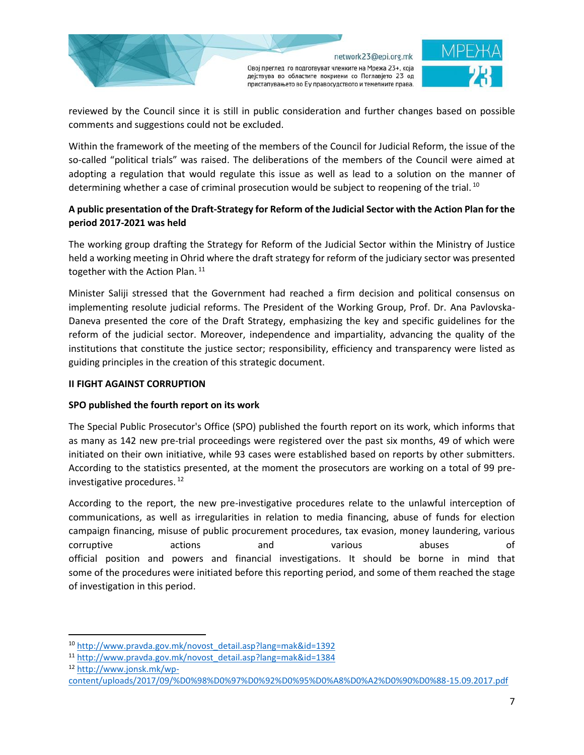



reviewed by the Council since it is still in public consideration and further changes based on possible comments and suggestions could not be excluded.

Within the framework of the meeting of the members of the Council for Judicial Reform, the issue of the so-called "political trials" was raised. The deliberations of the members of the Council were aimed at adopting a regulation that would regulate this issue as well as lead to a solution on the manner of determining whether a case of criminal prosecution would be subject to reopening of the trial.<sup>10</sup>

# **A public presentation of the Draft-Strategy for Reform of the Judicial Sector with the Action Plan for the period 2017-2021 was held**

The working group drafting the Strategy for Reform of the Judicial Sector within the Ministry of Justice held a working meeting in Ohrid where the draft strategy for reform of the judiciary sector was presented together with the Action Plan.<sup>11</sup>

Minister Saliji stressed that the Government had reached a firm decision and political consensus on implementing resolute judicial reforms. The President of the Working Group, Prof. Dr. Ana Pavlovska-Daneva presented the core of the Draft Strategy, emphasizing the key and specific guidelines for the reform of the judicial sector. Moreover, independence and impartiality, advancing the quality of the institutions that constitute the justice sector; responsibility, efficiency and transparency were listed as guiding principles in the creation of this strategic document.

# **II FIGHT AGAINST CORRUPTION**

# **SPO published the fourth report on its work**

The Special Public Prosecutor's Office (SPO) published the fourth report on its work, which informs that as many as 142 new pre-trial proceedings were registered over the past six months, 49 of which were initiated on their own initiative, while 93 cases were established based on reports by other submitters. According to the statistics presented, at the moment the prosecutors are working on a total of 99 preinvestigative procedures.<sup>12</sup>

According to the report, the new pre-investigative procedures relate to the unlawful interception of communications, as well as irregularities in relation to media financing, abuse of funds for election campaign financing, misuse of public procurement procedures, tax evasion, money laundering, various corruptive actions and various abuses of official position and powers and financial investigations. It should be borne in mind that some of the procedures were initiated before this reporting period, and some of them reached the stage of investigation in this period.

<sup>10</sup> [http://www.pravda.gov.mk/novost\\_detail.asp?lang=mak&id=1392](http://www.pravda.gov.mk/novost_detail.asp?lang=mak&id=1392)

<sup>11</sup> [http://www.pravda.gov.mk/novost\\_detail.asp?lang=mak&id=1384](http://www.pravda.gov.mk/novost_detail.asp?lang=mak&id=1384)

<sup>12</sup> [http://www.jonsk.mk/wp-](http://www.jonsk.mk/wp-content/uploads/2017/09/%D0%98%D0%97%D0%92%D0%95%D0%A8%D0%A2%D0%90%D0%88-15.09.2017.pdf)

[content/uploads/2017/09/%D0%98%D0%97%D0%92%D0%95%D0%A8%D0%A2%D0%90%D0%88-15.09.2017.pdf](http://www.jonsk.mk/wp-content/uploads/2017/09/%D0%98%D0%97%D0%92%D0%95%D0%A8%D0%A2%D0%90%D0%88-15.09.2017.pdf)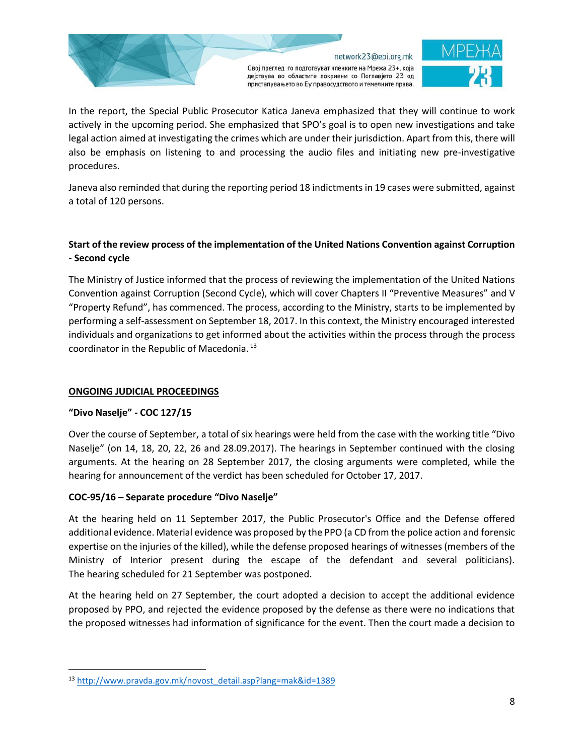

In the report, the Special Public Prosecutor Katica Janeva emphasized that they will continue to work actively in the upcoming period. She emphasized that SPO's goal is to open new investigations and take legal action aimed at investigating the crimes which are under their jurisdiction. Apart from this, there will also be emphasis on listening to and processing the audio files and initiating new pre-investigative procedures.

Janeva also reminded that during the reporting period 18 indictments in 19 cases were submitted, against a total of 120 persons.

# **Start of the review process of the implementation of the United Nations Convention against Corruption - Second cycle**

The Ministry of Justice informed that the process of reviewing the implementation of the United Nations Convention against Corruption (Second Cycle), which will cover Chapters II "Preventive Measures" and V "Property Refund", has commenced. The process, according to the Ministry, starts to be implemented by performing a self-assessment on September 18, 2017. In this context, the Ministry encouraged interested individuals and organizations to get informed about the activities within the process through the process coordinator in the Republic of Macedonia. <sup>13</sup>

# **ONGOING JUDICIAL PROCEEDINGS**

### **"Divo Naselje" - COC 127/15**

 $\overline{\phantom{a}}$ 

Over the course of September, a total of six hearings were held from the case with the working title "Divo Naselje" (on 14, 18, 20, 22, 26 and 28.09.2017). The hearings in September continued with the closing arguments. At the hearing on 28 September 2017, the closing arguments were completed, while the hearing for announcement of the verdict has been scheduled for October 17, 2017.

### **COC-95/16 – Separate procedure "Divo Naselje"**

At the hearing held on 11 September 2017, the Public Prosecutor's Office and the Defense offered additional evidence. Material evidence was proposed by the PPO (a CD from the police action and forensic expertise on the injuries of the killed), while the defense proposed hearings of witnesses (members of the Ministry of Interior present during the escape of the defendant and several politicians). The hearing scheduled for 21 September was postponed.

At the hearing held on 27 September, the court adopted a decision to accept the additional evidence proposed by PPO, and rejected the evidence proposed by the defense as there were no indications that the proposed witnesses had information of significance for the event. Then the court made a decision to

<sup>13</sup> [http://www.pravda.gov.mk/novost\\_detail.asp?lang=mak&id=1389](http://www.pravda.gov.mk/novost_detail.asp?lang=mak&id=1389)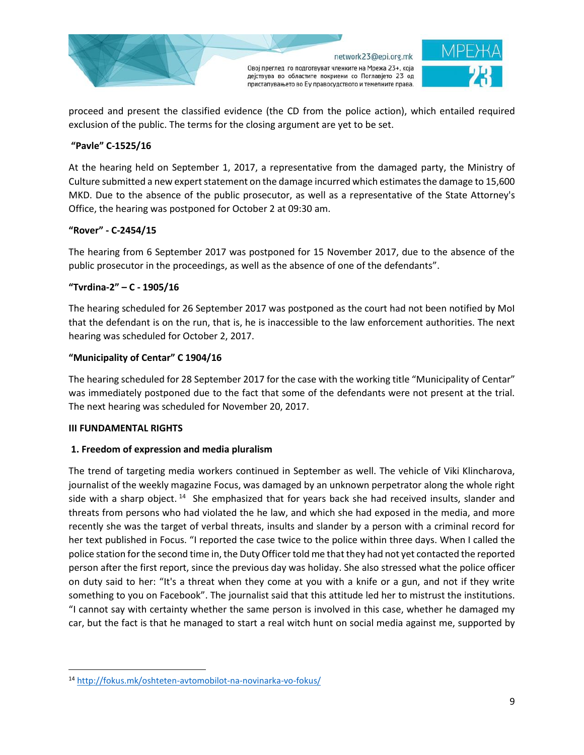

proceed and present the classified evidence (the CD from the police action), which entailed required exclusion of the public. The terms for the closing argument are yet to be set.

## **"Pavle" C-1525/16**

At the hearing held on September 1, 2017, a representative from the damaged party, the Ministry of Culture submitted a new expert statement on the damage incurred which estimates the damage to 15,600 MKD. Due to the absence of the public prosecutor, as well as a representative of the State Attorney's Office, the hearing was postponed for October 2 at 09:30 am.

## **"Rover" - C-2454/15**

The hearing from 6 September 2017 was postponed for 15 November 2017, due to the absence of the public prosecutor in the proceedings, as well as the absence of one of the defendants".

## **"Tvrdina-2" – C - 1905/16**

The hearing scheduled for 26 September 2017 was postponed as the court had not been notified by MoI that the defendant is on the run, that is, he is inaccessible to the law enforcement authorities. The next hearing was scheduled for October 2, 2017.

### **"Municipality of Centar" C 1904/16**

The hearing scheduled for 28 September 2017 for the case with the working title "Municipality of Centar" was immediately postponed due to the fact that some of the defendants were not present at the trial. The next hearing was scheduled for November 20, 2017.

### **III FUNDAMENTAL RIGHTS**

 $\overline{\phantom{a}}$ 

### **1. Freedom of expression and media pluralism**

The trend of targeting media workers continued in September as well. The vehicle of Viki Klincharova, journalist of the weekly magazine Focus, was damaged by an unknown perpetrator along the whole right side with a sharp object.  $14$  She emphasized that for years back she had received insults, slander and threats from persons who had violated the he law, and which she had exposed in the media, and more recently she was the target of verbal threats, insults and slander by a person with a criminal record for her text published in Focus. "I reported the case twice to the police within three days. When I called the police station for the second time in, the Duty Officer told me that they had not yet contacted the reported person after the first report, since the previous day was holiday. She also stressed what the police officer on duty said to her: "It's a threat when they come at you with a knife or a gun, and not if they write something to you on Facebook". The journalist said that this attitude led her to mistrust the institutions. "I cannot say with certainty whether the same person is involved in this case, whether he damaged my car, but the fact is that he managed to start a real witch hunt on social media against me, supported by

<sup>14</sup> <http://fokus.mk/oshteten-avtomobilot-na-novinarka-vo-fokus/>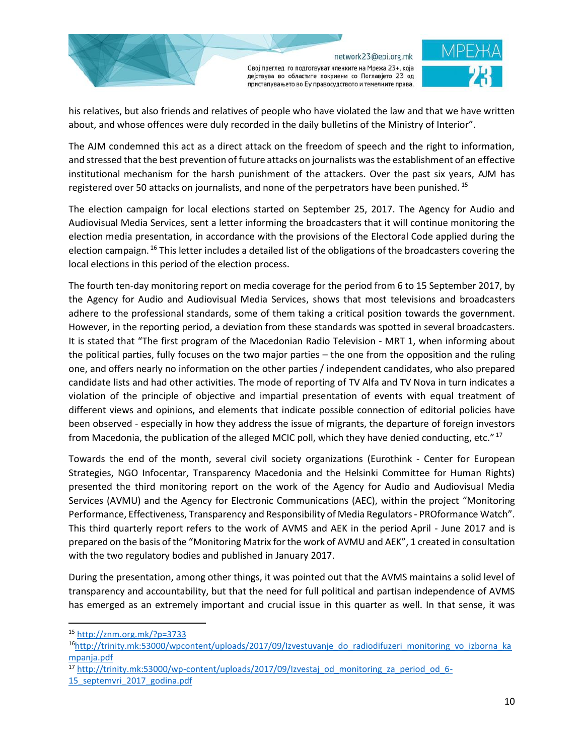

Овој преглед го подготвуват членките на Мрежа 23+, која дејствува во областите покриени со Поглавјето 23 од пристапувањето во Еу правосудството и темелните права.

his relatives, but also friends and relatives of people who have violated the law and that we have written about, and whose offences were duly recorded in the daily bulletins of the Ministry of Interior".

The AJM condemned this act as a direct attack on the freedom of speech and the right to information, and stressed that the best prevention of future attacks on journalists was the establishment of an effective institutional mechanism for the harsh punishment of the attackers. Over the past six years, AJM has registered over 50 attacks on journalists, and none of the perpetrators have been punished.<sup>15</sup>

The election campaign for local elections started on September 25, 2017. The Agency for Audio and Audiovisual Media Services, sent a letter informing the broadcasters that it will continue monitoring the election media presentation, in accordance with the provisions of the Electoral Code applied during the election campaign. <sup>16</sup> This letter includes a detailed list of the obligations of the broadcasters covering the local elections in this period of the election process.

The fourth ten-day monitoring report on media coverage for the period from 6 to 15 September 2017, by the Agency for Audio and Audiovisual Media Services, shows that most televisions and broadcasters adhere to the professional standards, some of them taking a critical position towards the government. However, in the reporting period, a deviation from these standards was spotted in several broadcasters. It is stated that "The first program of the Macedonian Radio Television - MRT 1, when informing about the political parties, fully focuses on the two major parties – the one from the opposition and the ruling one, and offers nearly no information on the other parties / independent candidates, who also prepared candidate lists and had other activities. The mode of reporting of TV Alfa and TV Nova in turn indicates a violation of the principle of objective and impartial presentation of events with equal treatment of different views and opinions, and elements that indicate possible connection of editorial policies have been observed - especially in how they address the issue of migrants, the departure of foreign investors from Macedonia, the publication of the alleged MCIC poll, which they have denied conducting, etc." <sup>17</sup>

Towards the end of the month, several civil society organizations (Eurothink - Center for European Strategies, NGO Infocentar, Transparency Macedonia and the Helsinki Committee for Human Rights) presented the third monitoring report on the work of the Agency for Audio and Audiovisual Media Services (AVMU) and the Agency for Electronic Communications (AEC), within the project "Monitoring Performance, Effectiveness, Transparency and Responsibility of Media Regulators - PROformance Watch". This third quarterly report refers to the work of AVMS and AEK in the period April - June 2017 and is prepared on the basis of the "Monitoring Matrix for the work of AVMU and AEK", 1 created in consultation with the two regulatory bodies and published in January 2017.

During the presentation, among other things, it was pointed out that the AVMS maintains a solid level of transparency and accountability, but that the need for full political and partisan independence of AVMS has emerged as an extremely important and crucial issue in this quarter as well. In that sense, it was

 $\overline{\phantom{a}}$ 

<sup>15</sup> <http://znm.org.mk/?p=3733>

<sup>&</sup>lt;sup>16</sup>[http://trinity.mk:53000/wpcontent/uploads/2017/09/Izvestuvanje\\_do\\_radiodifuzeri\\_monitoring\\_vo\\_izborna\\_ka](http://trinity.mk:53000/wpcontent/uploads/2017/09/Izvestuvanje_do_radiodifuzeri_monitoring_vo_izborna_kampanja.pdf) [mpanja.pdf](http://trinity.mk:53000/wpcontent/uploads/2017/09/Izvestuvanje_do_radiodifuzeri_monitoring_vo_izborna_kampanja.pdf)

<sup>&</sup>lt;sup>17</sup> [http://trinity.mk:53000/wp-content/uploads/2017/09/Izvestaj\\_od\\_monitoring\\_za\\_period\\_od\\_6-](http://trinity.mk:53000/wp-content/uploads/2017/09/Izvestaj_od_monitoring_za_period_od_6-15_septemvri_2017_godina.pdf)

<sup>15</sup> septemvri 2017 godina.pdf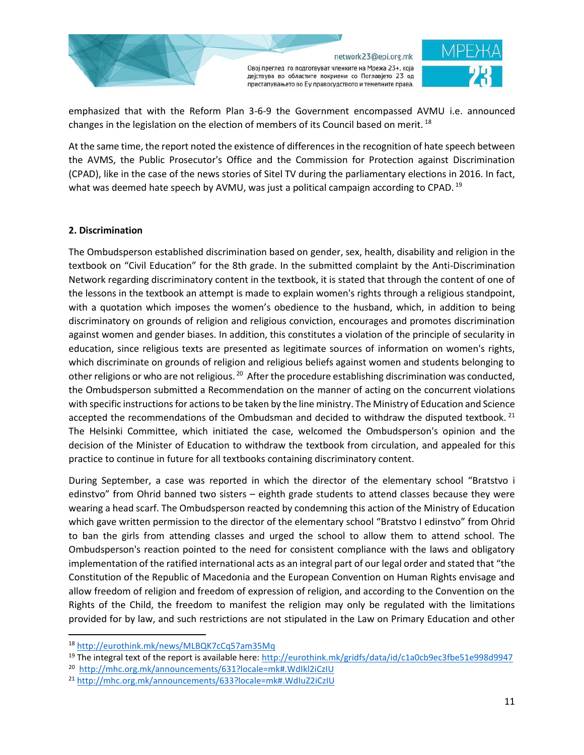

emphasized that with the Reform Plan 3-6-9 the Government encompassed AVMU i.e. announced changes in the legislation on the election of members of its Council based on merit.<sup>18</sup>

At the same time, the report noted the existence of differences in the recognition of hate speech between the AVMS, the Public Prosecutor's Office and the Commission for Protection against Discrimination (CPAD), like in the case of the news stories of Sitel TV during the parliamentary elections in 2016. In fact, what was deemed hate speech by AVMU, was just a political campaign according to CPAD. <sup>19</sup>

### **2. Discrimination**

The Ombudsperson established discrimination based on gender, sex, health, disability and religion in the textbook on "Civil Education" for the 8th grade. In the submitted complaint by the Anti-Discrimination Network regarding discriminatory content in the textbook, it is stated that through the content of one of the lessons in the textbook an attempt is made to explain women's rights through a religious standpoint, with a quotation which imposes the women's obedience to the husband, which, in addition to being discriminatory on grounds of religion and religious conviction, encourages and promotes discrimination against women and gender biases. In addition, this constitutes a violation of the principle of secularity in education, since religious texts are presented as legitimate sources of information on women's rights, which discriminate on grounds of religion and religious beliefs against women and students belonging to other religions or who are not religious.<sup>20</sup> After the procedure establishing discrimination was conducted, the Ombudsperson submitted a Recommendation on the manner of acting on the concurrent violations with specific instructions for actionsto be taken by the line ministry. The Ministry of Education and Science accepted the recommendations of the Ombudsman and decided to withdraw the disputed textbook.<sup>21</sup> The Helsinki Committee, which initiated the case, welcomed the Ombudsperson's opinion and the decision of the Minister of Education to withdraw the textbook from circulation, and appealed for this practice to continue in future for all textbooks containing discriminatory content.

During September, a case was reported in which the director of the elementary school "Bratstvo i edinstvo" from Ohrid banned two sisters – eighth grade students to attend classes because they were wearing a head scarf. The Ombudsperson reacted by condemning this action of the Ministry of Education which gave written permission to the director of the elementary school "Bratstvo I edinstvo" from Ohrid to ban the girls from attending classes and urged the school to allow them to attend school. The Ombudsperson's reaction pointed to the need for consistent compliance with the laws and obligatory implementation of the ratified international acts as an integral part of our legal order and stated that "the Constitution of the Republic of Macedonia and the European Convention on Human Rights envisage and allow freedom of religion and freedom of expression of religion, and according to the Convention on the Rights of the Child, the freedom to manifest the religion may only be regulated with the limitations provided for by law, and such restrictions are not stipulated in the Law on Primary Education and other

<sup>18</sup> <http://eurothink.mk/news/MLBQK7cCq57am35Mq>

<sup>&</sup>lt;sup>19</sup> The integral text of the report is available here:<http://eurothink.mk/gridfs/data/id/c1a0cb9ec3fbe51e998d9947>

<sup>20</sup> <http://mhc.org.mk/announcements/631?locale=mk#.WdIkl2iCzIU>

<sup>21</sup> <http://mhc.org.mk/announcements/633?locale=mk#.WdIuZ2iCzIU>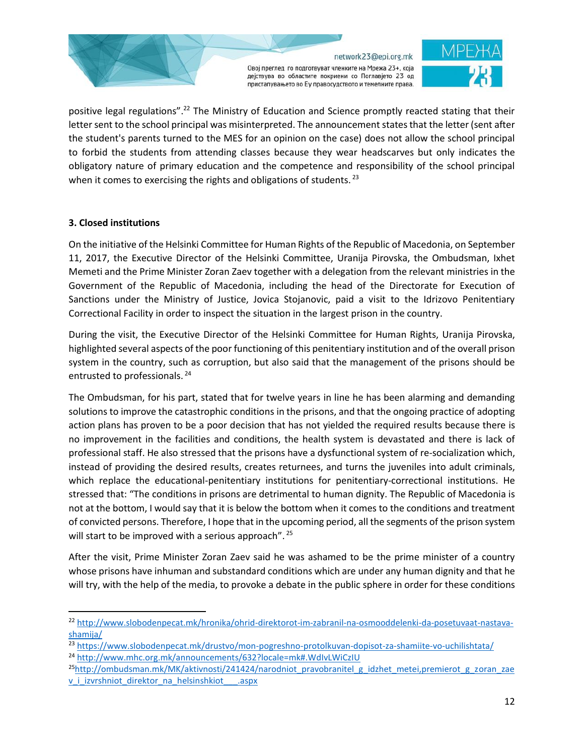

positive legal regulations".<sup>22</sup> The Ministry of Education and Science promptly reacted stating that their letter sent to the school principal was misinterpreted. The announcement states that the letter (sent after the student's parents turned to the MES for an opinion on the case) does not allow the school principal to forbid the students from attending classes because they wear headscarves but only indicates the obligatory nature of primary education and the competence and responsibility of the school principal when it comes to exercising the rights and obligations of students.<sup>23</sup>

## **3. Closed institutions**

l

On the initiative of the Helsinki Committee for Human Rights of the Republic of Macedonia, on September 11, 2017, the Executive Director of the Helsinki Committee, Uranija Pirovska, the Ombudsman, Ixhet Memeti and the Prime Minister Zoran Zaev together with a delegation from the relevant ministries in the Government of the Republic of Macedonia, including the head of the Directorate for Execution of Sanctions under the Ministry of Justice, Jovica Stojanovic, paid a visit to the Idrizovo Penitentiary Correctional Facility in order to inspect the situation in the largest prison in the country.

During the visit, the Executive Director of the Helsinki Committee for Human Rights, Uranija Pirovska, highlighted several aspects of the poor functioning of this penitentiary institution and of the overall prison system in the country, such as corruption, but also said that the management of the prisons should be entrusted to professionals. <sup>24</sup>

The Ombudsman, for his part, stated that for twelve years in line he has been alarming and demanding solutions to improve the catastrophic conditions in the prisons, and that the ongoing practice of adopting action plans has proven to be a poor decision that has not yielded the required results because there is no improvement in the facilities and conditions, the health system is devastated and there is lack of professional staff. He also stressed that the prisons have a dysfunctional system of re-socialization which, instead of providing the desired results, creates returnees, and turns the juveniles into adult criminals, which replace the educational-penitentiary institutions for penitentiary-correctional institutions. He stressed that: "The conditions in prisons are detrimental to human dignity. The Republic of Macedonia is not at the bottom, I would say that it is below the bottom when it comes to the conditions and treatment of convicted persons. Therefore, I hope that in the upcoming period, all the segments of the prison system will start to be improved with a serious approach". <sup>25</sup>

After the visit, Prime Minister Zoran Zaev said he was ashamed to be the prime minister of a country whose prisons have inhuman and substandard conditions which are under any human dignity and that he will try, with the help of the media, to provoke a debate in the public sphere in order for these conditions

<sup>22</sup> [http://www.slobodenpecat.mk/hronika/ohrid-direktorot-im-zabranil-na-osmooddelenki-da-posetuvaat-nastava](http://www.slobodenpecat.mk/hronika/ohrid-direktorot-im-zabranil-na-osmooddelenki-da-posetuvaat-nastava-shamija/)[shamija/](http://www.slobodenpecat.mk/hronika/ohrid-direktorot-im-zabranil-na-osmooddelenki-da-posetuvaat-nastava-shamija/)

<sup>&</sup>lt;sup>23</sup> <https://www.slobodenpecat.mk/drustvo/mon-pogreshno-protolkuvan-dopisot-za-shamiite-vo-uchilishtata/>

<sup>24</sup> <http://www.mhc.org.mk/announcements/632?locale=mk#.WdIvLWiCzIU>

 $^{25}$ [http://ombudsman.mk/MK/aktivnosti/241424/narodniot\\_pravobranitel\\_g\\_idzhet\\_metei,premierot\\_g\\_zoran\\_zae](http://ombudsman.mk/MK/aktivnosti/241424/narodniot_pravobranitel_g_idzhet_metei,premierot_g_zoran_zaev_i_izvrshniot_direktor_na_helsinshkiot___.aspx) [v\\_i\\_izvrshniot\\_direktor\\_na\\_helsinshkiot\\_\\_\\_.aspx](http://ombudsman.mk/MK/aktivnosti/241424/narodniot_pravobranitel_g_idzhet_metei,premierot_g_zoran_zaev_i_izvrshniot_direktor_na_helsinshkiot___.aspx)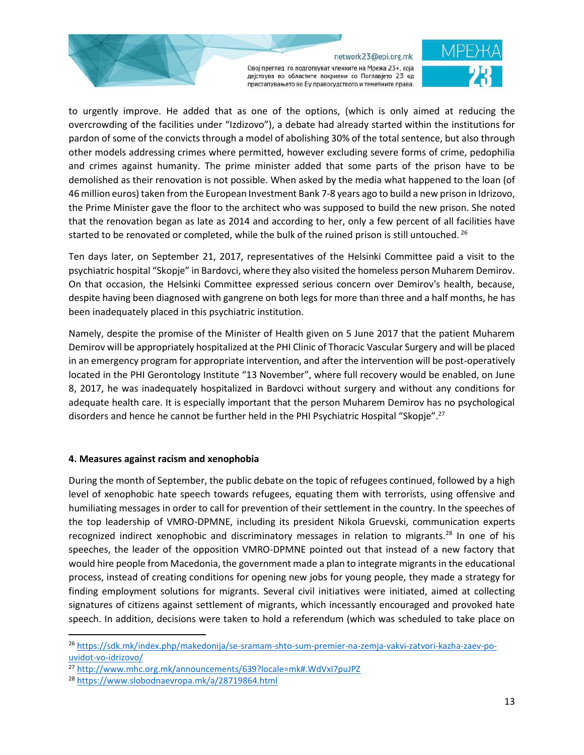Овој преглед го подготвуват членките на Мрежа 23+, која дејствува во областите покриени со Поглавјето 23 од пристапувањето во Еу правосудството и темелните права.



to urgently improve. He added that as one of the options, (which is only aimed at reducing the overcrowding of the facilities under "Izdizovo"), a debate had already started within the institutions for pardon of some of the convicts through a model of abolishing 30% of the total sentence, but also through other models addressing crimes where permitted, however excluding severe forms of crime, pedophilia and crimes against humanity. The prime minister added that some parts of the prison have to be demolished as their renovation is not possible. When asked by the media what happened to the loan (of 46 million euros) taken from the European Investment Bank 7-8 years ago to build a new prison in Idrizovo, the Prime Minister gave the floor to the architect who was supposed to build the new prison. She noted that the renovation began as late as 2014 and according to her, only a few percent of all facilities have started to be renovated or completed, while the bulk of the ruined prison is still untouched. <sup>26</sup>

Ten days later, on September 21, 2017, representatives of the Helsinki Committee paid a visit to the psychiatric hospital "Skopje" in Bardovci, where they also visited the homeless person Muharem Demirov. On that occasion, the Helsinki Committee expressed serious concern over Demirov's health, because, despite having been diagnosed with gangrene on both legs for more than three and a half months, he has been inadequately placed in this psychiatric institution.

Namely, despite the promise of the Minister of Health given on 5 June 2017 that the patient Muharem Demirov will be appropriately hospitalized at the PHI Clinic of Thoracic Vascular Surgery and will be placed in an emergency program for appropriate intervention, and after the intervention will be post-operatively located in the PHI Gerontology Institute "13 November", where full recovery would be enabled, on June 8, 2017, he was inadequately hospitalized in Bardovci without surgery and without any conditions for adequate health care. It is especially important that the person Muharem Demirov has no psychological disorders and hence he cannot be further held in the PHI Psychiatric Hospital "Skopje".<sup>27</sup>

### **4. Measures against racism and xenophobia**

During the month of September, the public debate on the topic of refugees continued, followed by a high level of xenophobic hate speech towards refugees, equating them with terrorists, using offensive and humiliating messages in order to call for prevention of their settlement in the country. In the speeches of the top leadership of VMRO-DPMNE, including its president Nikola Gruevski, communication experts recognized indirect xenophobic and discriminatory messages in relation to migrants.<sup>28</sup> In one of his speeches, the leader of the opposition VMRO-DPMNE pointed out that instead of a new factory that would hire people from Macedonia, the government made a plan to integrate migrants in the educational process, instead of creating conditions for opening new jobs for young people, they made a strategy for finding employment solutions for migrants. Several civil initiatives were initiated, aimed at collecting signatures of citizens against settlement of migrants, which incessantly encouraged and provoked hate speech. In addition, decisions were taken to hold a referendum (which was scheduled to take place on

<sup>26</sup> [https://sdk.mk/index.php/makedonija/se-sramam-shto-sum-premier-na-zemja-vakvi-zatvori-kazha-zaev-po](https://sdk.mk/index.php/makedonija/se-sramam-shto-sum-premier-na-zemja-vakvi-zatvori-kazha-zaev-po-uvidot-vo-idrizovo/)[uvidot-vo-idrizovo/](https://sdk.mk/index.php/makedonija/se-sramam-shto-sum-premier-na-zemja-vakvi-zatvori-kazha-zaev-po-uvidot-vo-idrizovo/)

<sup>27</sup> <http://www.mhc.org.mk/announcements/639?locale=mk#.WdVxI7puJPZ>

<sup>28</sup> <https://www.slobodnaevropa.mk/a/28719864.html>